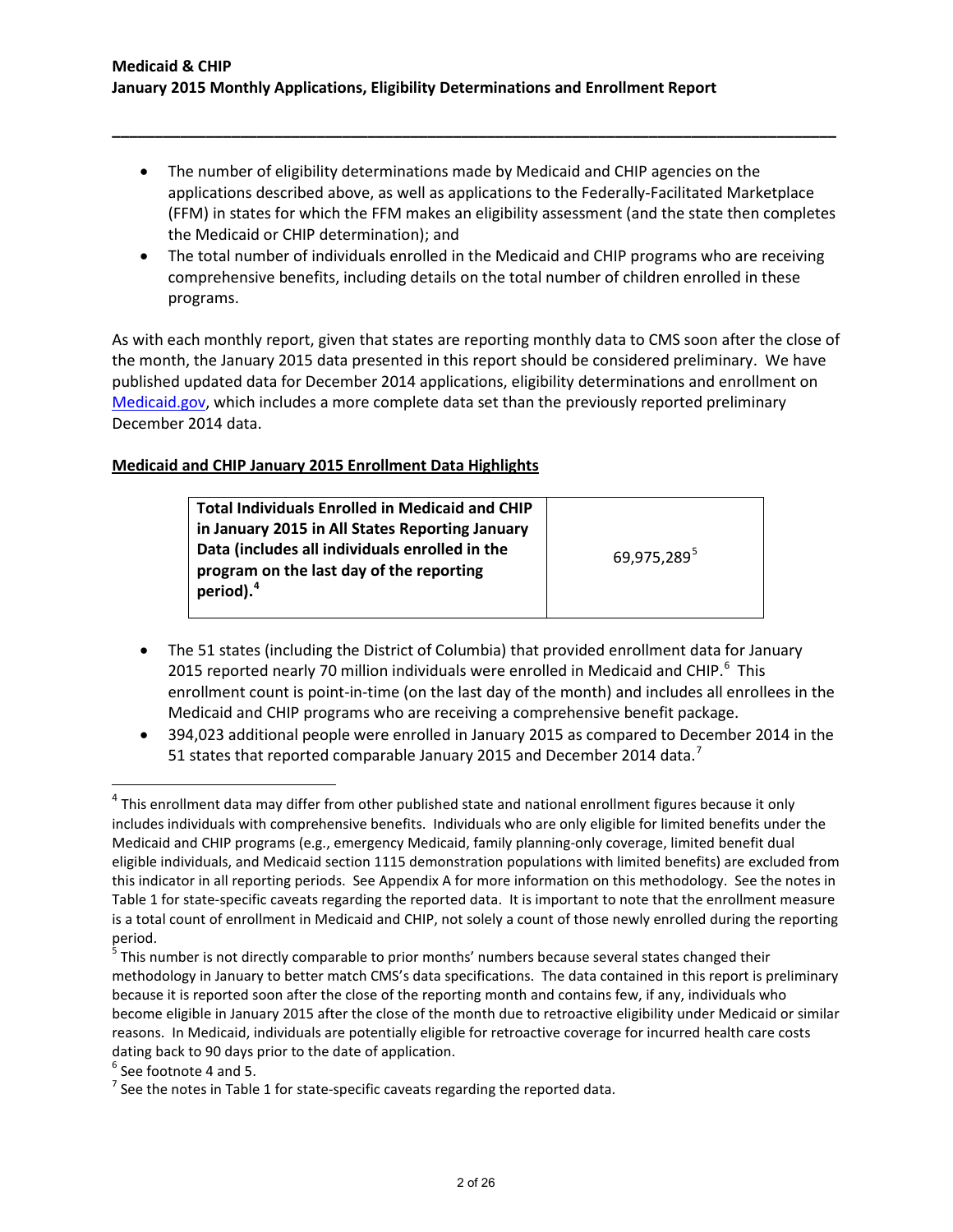• The number of eligibility determinations made by Medicaid and CHIP agencies on the applications described above, as well as applications to the Federally-Facilitated Marketplace (FFM) in states for which the FFM makes an eligibility assessment (and the state then completes the Medicaid or CHIP determination); and

**\_\_\_\_\_\_\_\_\_\_\_\_\_\_\_\_\_\_\_\_\_\_\_\_\_\_\_\_\_\_\_\_\_\_\_\_\_\_\_\_\_\_\_\_\_\_\_\_\_\_\_\_\_\_\_\_\_\_\_\_\_\_\_\_\_\_\_\_\_\_\_\_\_\_\_\_\_\_\_\_\_\_\_\_\_**

• The total number of individuals enrolled in the Medicaid and CHIP programs who are receiving comprehensive benefits, including details on the total number of children enrolled in these programs.

As with each monthly report, given that states are reporting monthly data to CMS soon after the close of the month, the January 2015 data presented in this report should be considered preliminary. We have published updated data for December 2014 applications, eligibility determinations and enrollment on [Medicaid.gov,](http://www.medicaid.gov/medicaid-chip-program-information/program-information/medicaid-and-chip-enrollment-data/medicaid-and-chip-application-eligibility-determination-and-enrollment-data.html) which includes a more complete data set than the previously reported preliminary December 2014 data.

# **Medicaid and CHIP January 2015 Enrollment Data Highlights**

| <b>Total Individuals Enrolled in Medicaid and CHIP</b> |                         |
|--------------------------------------------------------|-------------------------|
| in January 2015 in All States Reporting January        |                         |
| Data (includes all individuals enrolled in the         | 69,975,289 <sup>5</sup> |
| program on the last day of the reporting               |                         |
| period). <sup>4</sup>                                  |                         |
|                                                        |                         |

- The 51 states (including the District of Columbia) that provided enrollment data for January 2015 reported nearly 70 million individuals were enrolled in Medicaid and CHIP. $^6$  $^6$  This enrollment count is point-in-time (on the last day of the month) and includes all enrollees in the Medicaid and CHIP programs who are receiving a comprehensive benefit package.
- 394,023 additional people were enrolled in January 2015 as compared to December 2014 in the 51 states that reported comparable January 2015 and December 2014 data.<sup>[7](#page-1-3)</sup>

<span id="page-1-0"></span> $4$  This enrollment data may differ from other published state and national enrollment figures because it only includes individuals with comprehensive benefits. Individuals who are only eligible for limited benefits under the Medicaid and CHIP programs (e.g., emergency Medicaid, family planning-only coverage, limited benefit dual eligible individuals, and Medicaid section 1115 demonstration populations with limited benefits) are excluded from this indicator in all reporting periods. See Appendix A for more information on this methodology. See the notes in Table 1 for state-specific caveats regarding the reported data. It is important to note that the enrollment measure is a total count of enrollment in Medicaid and CHIP, not solely a count of those newly enrolled during the reporting period.

<span id="page-1-1"></span><sup>&</sup>lt;sup>5</sup> This number is not directly comparable to prior months' numbers because several states changed their methodology in January to better match CMS's data specifications. The data contained in this report is preliminary because it is reported soon after the close of the reporting month and contains few, if any, individuals who become eligible in January 2015 after the close of the month due to retroactive eligibility under Medicaid or similar reasons. In Medicaid, individuals are potentially eligible for retroactive coverage for incurred health care costs dating back to 90 days prior to the date of application.<br><sup>6</sup> See footnote 4 and 5.<br><sup>7</sup> See the notes in Table 1 for state-specific caveats regarding the reported data.

<span id="page-1-2"></span>

<span id="page-1-3"></span>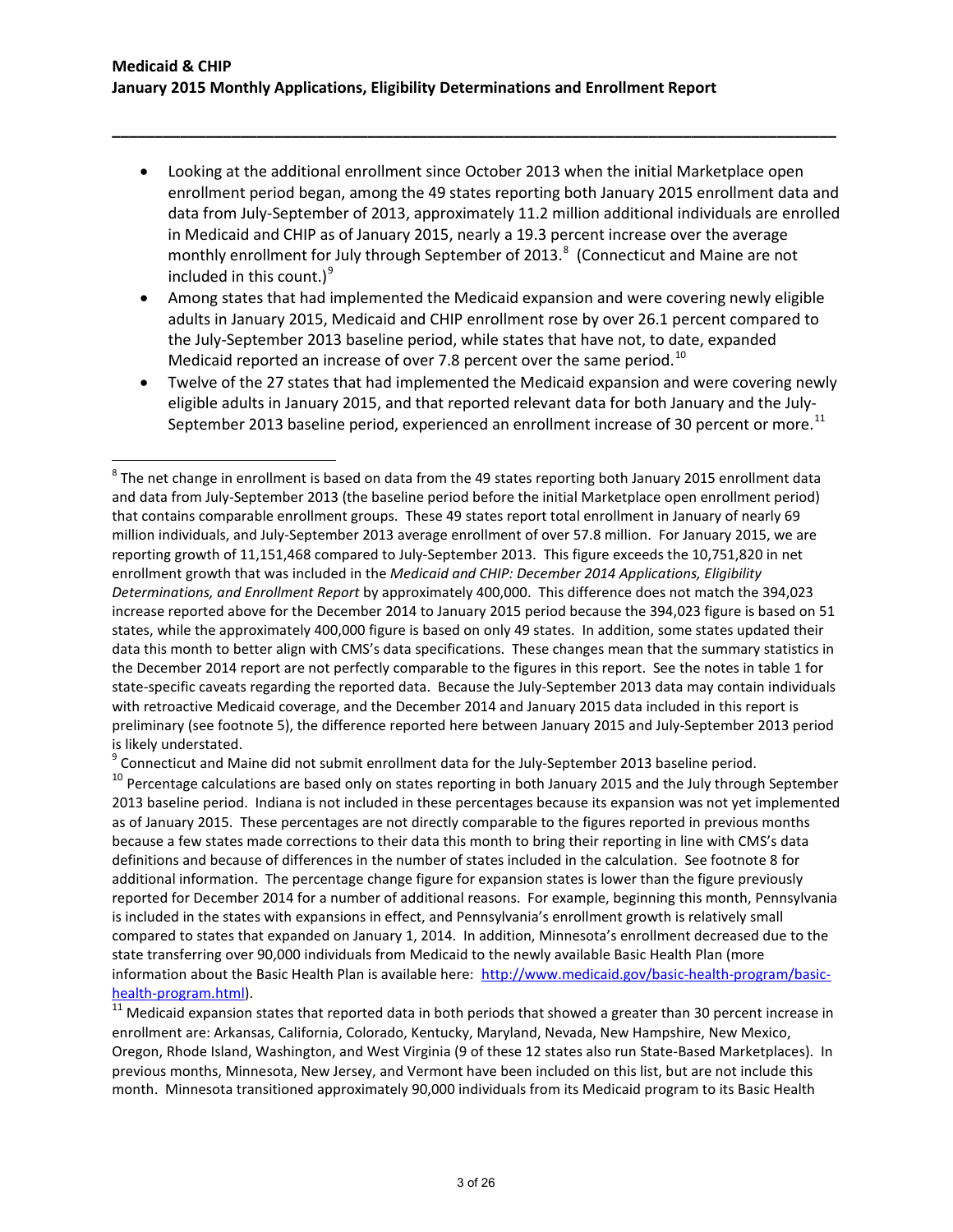l

• Looking at the additional enrollment since October 2013 when the initial Marketplace open enrollment period began, among the 49 states reporting both January 2015 enrollment data and data from July-September of 2013, approximately 11.2 million additional individuals are enrolled in Medicaid and CHIP as of January 2015, nearly a 19.3 percent increase over the average monthly enrollment for July through September of 2013. $^8$  $^8$  (Connecticut and Maine are not included in this count.) $^{9}$  $^{9}$  $^{9}$ 

**\_\_\_\_\_\_\_\_\_\_\_\_\_\_\_\_\_\_\_\_\_\_\_\_\_\_\_\_\_\_\_\_\_\_\_\_\_\_\_\_\_\_\_\_\_\_\_\_\_\_\_\_\_\_\_\_\_\_\_\_\_\_\_\_\_\_\_\_\_\_\_\_\_\_\_\_\_\_\_\_\_\_\_\_\_**

- Among states that had implemented the Medicaid expansion and were covering newly eligible adults in January 2015, Medicaid and CHIP enrollment rose by over 26.1 percent compared to the July-September 2013 baseline period, while states that have not, to date, expanded Medicaid reported an increase of over 7.8 percent over the same period.<sup>[10](#page-2-2)</sup>
- Twelve of the 27 states that had implemented the Medicaid expansion and were covering newly eligible adults in January 2015, and that reported relevant data for both January and the July-September 2013 baseline period, experienced an enrollment increase of 30 percent or more.<sup>[11](#page-2-3)</sup>

<span id="page-2-1"></span><sup>9</sup> Connecticut and Maine did not submit enrollment data for the July-September 2013 baseline period.

<span id="page-2-0"></span> $8$  The net change in enrollment is based on data from the 49 states reporting both January 2015 enrollment data and data from July-September 2013 (the baseline period before the initial Marketplace open enrollment period) that contains comparable enrollment groups. These 49 states report total enrollment in January of nearly 69 million individuals, and July-September 2013 average enrollment of over 57.8 million. For January 2015, we are reporting growth of 11,151,468 compared to July-September 2013. This figure exceeds the 10,751,820 in net enrollment growth that was included in the *Medicaid and CHIP: December 2014 Applications, Eligibility Determinations, and Enrollment Report* by approximately 400,000. This difference does not match the 394,023 increase reported above for the December 2014 to January 2015 period because the 394,023 figure is based on 51 states, while the approximately 400,000 figure is based on only 49 states. In addition, some states updated their data this month to better align with CMS's data specifications. These changes mean that the summary statistics in the December 2014 report are not perfectly comparable to the figures in this report. See the notes in table 1 for state-specific caveats regarding the reported data. Because the July-September 2013 data may contain individuals with retroactive Medicaid coverage, and the December 2014 and January 2015 data included in this report is preliminary (see footnote 5), the difference reported here between January 2015 and July-September 2013 period is likely understated.

<span id="page-2-2"></span><sup>&</sup>lt;sup>10</sup> Percentage calculations are based only on states reporting in both January 2015 and the July through September 2013 baseline period. Indiana is not included in these percentages because its expansion was not yet implemented as of January 2015. These percentages are not directly comparable to the figures reported in previous months because a few states made corrections to their data this month to bring their reporting in line with CMS's data definitions and because of differences in the number of states included in the calculation. See footnote 8 for additional information. The percentage change figure for expansion states is lower than the figure previously reported for December 2014 for a number of additional reasons. For example, beginning this month, Pennsylvania is included in the states with expansions in effect, and Pennsylvania's enrollment growth is relatively small compared to states that expanded on January 1, 2014. In addition, Minnesota's enrollment decreased due to the state transferring over 90,000 individuals from Medicaid to the newly available Basic Health Plan (more information about the Basic Health Plan is available here: [http://www.medicaid.gov/basic-health-program/basic-](http://www.medicaid.gov/basic-health-program/basic-health-program.html)

<span id="page-2-3"></span>[health-program.html\)](http://www.medicaid.gov/basic-health-program/basic-health-program.html).<br><sup>11</sup> Medicaid expansion states that reported data in both periods that showed a greater than 30 percent increase in enrollment are: Arkansas, California, Colorado, Kentucky, Maryland, Nevada, New Hampshire, New Mexico, Oregon, Rhode Island, Washington, and West Virginia (9 of these 12 states also run State-Based Marketplaces). In previous months, Minnesota, New Jersey, and Vermont have been included on this list, but are not include this month. Minnesota transitioned approximately 90,000 individuals from its Medicaid program to its Basic Health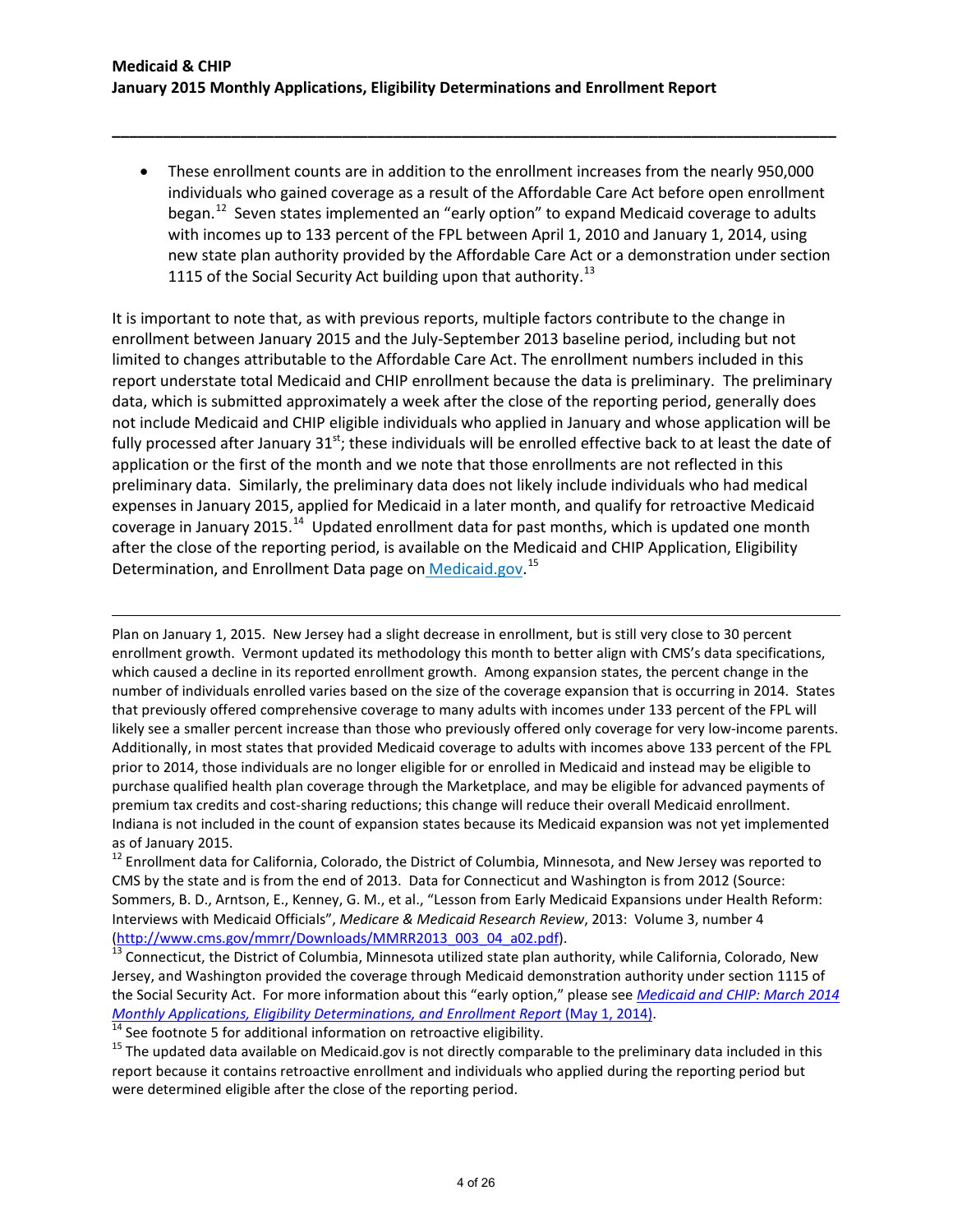• These enrollment counts are in addition to the enrollment increases from the nearly 950,000 individuals who gained coverage as a result of the Affordable Care Act before open enrollment began.<sup>12</sup> Seven states implemented an "early option" to expand Medicaid coverage to adults with incomes up to 133 percent of the FPL between April 1, 2010 and January 1, 2014, using new state plan authority provided by the Affordable Care Act or a demonstration under section 1115 of the Social Security Act building upon that authority.<sup>[13](#page-3-1)</sup>

**\_\_\_\_\_\_\_\_\_\_\_\_\_\_\_\_\_\_\_\_\_\_\_\_\_\_\_\_\_\_\_\_\_\_\_\_\_\_\_\_\_\_\_\_\_\_\_\_\_\_\_\_\_\_\_\_\_\_\_\_\_\_\_\_\_\_\_\_\_\_\_\_\_\_\_\_\_\_\_\_\_\_\_\_\_**

It is important to note that, as with previous reports, multiple factors contribute to the change in enrollment between January 2015 and the July-September 2013 baseline period, including but not limited to changes attributable to the Affordable Care Act. The enrollment numbers included in this report understate total Medicaid and CHIP enrollment because the data is preliminary. The preliminary data, which is submitted approximately a week after the close of the reporting period, generally does not include Medicaid and CHIP eligible individuals who applied in January and whose application will be fully processed after January  $31^{st}$ ; these individuals will be enrolled effective back to at least the date of application or the first of the month and we note that those enrollments are not reflected in this preliminary data. Similarly, the preliminary data does not likely include individuals who had medical expenses in January 2015, applied for Medicaid in a later month, and qualify for retroactive Medicaid coverage in January 2015.<sup>[14](#page-3-2)</sup> Updated enrollment data for past months, which is updated one month after the close of the reporting period, is available on the Medicaid and CHIP Application, Eligibility Determination, and Enrollment Data page on [Medicaid.gov.](http://www.medicaid.gov/medicaid-chip-program-information/program-information/medicaid-and-chip-enrollment-data/medicaid-and-chip-application-eligibility-determination-and-enrollment-data.html)<sup>[15](#page-3-3)</sup>

Plan on January 1, 2015. New Jersey had a slight decrease in enrollment, but is still very close to 30 percent enrollment growth. Vermont updated its methodology this month to better align with CMS's data specifications, which caused a decline in its reported enrollment growth. Among expansion states, the percent change in the number of individuals enrolled varies based on the size of the coverage expansion that is occurring in 2014. States that previously offered comprehensive coverage to many adults with incomes under 133 percent of the FPL will likely see a smaller percent increase than those who previously offered only coverage for very low-income parents. Additionally, in most states that provided Medicaid coverage to adults with incomes above 133 percent of the FPL prior to 2014, those individuals are no longer eligible for or enrolled in Medicaid and instead may be eligible to purchase qualified health plan coverage through the Marketplace, and may be eligible for advanced payments of premium tax credits and cost-sharing reductions; this change will reduce their overall Medicaid enrollment. Indiana is not included in the count of expansion states because its Medicaid expansion was not yet implemented as of January 2015.<br><sup>12</sup> Enrollment data for California, Colorado, the District of Columbia, Minnesota, and New Jersey was reported to

<span id="page-3-0"></span>CMS by the state and is from the end of 2013. Data for Connecticut and Washington is from 2012 (Source: Sommers, B. D., Arntson, E., Kenney, G. M., et al., "Lesson from Early Medicaid Expansions under Health Reform: Interviews with Medicaid Officials", *Medicare & Medicaid Research Review*, 2013: Volume 3, number 4

<span id="page-3-1"></span>[\(http://www.cms.gov/mmrr/Downloads/MMRR2013\\_003\\_04\\_a02.pdf\)](http://www.cms.gov/mmrr/Downloads/MMRR2013_003_04_a02.pdf).<br><sup>13</sup> Connecticut, the District of Columbia, Minnesota utilized state plan authority, while California, Colorado, New Jersey, and Washington provided the coverage through Medicaid demonstration authority under section 1115 of the Social Security Act. For more information about this "early option," please see *[Medicaid and CHIP: March 2014](http://www.medicaid.gov/medicaid-chip-program-information/program-information/downloads/march-2014-enrollment-report.pdf)*  Monthly Applications, Eligibility Determinations, and Enrollment Report (May 1, 2014).<br><sup>14</sup> See footnote 5 for additional information on retroactive eligibility.<br><sup>15</sup> The updated data available on Medicaid.gov is not dire

<span id="page-3-2"></span>

l

<span id="page-3-3"></span>report because it contains retroactive enrollment and individuals who applied during the reporting period but were determined eligible after the close of the reporting period.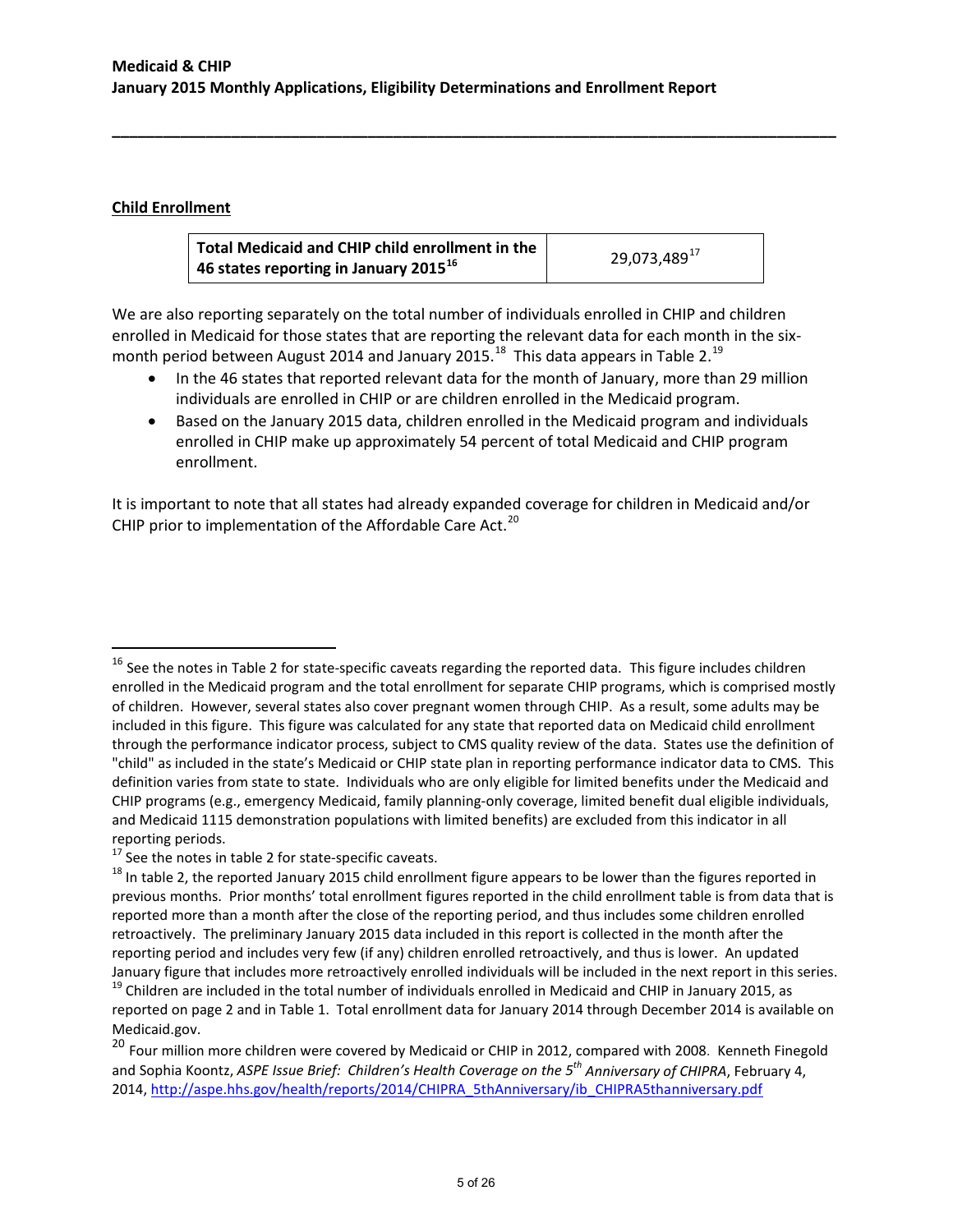# **Child Enrollment**

 $\overline{\phantom{a}}$ 

| Total Medicaid and CHIP child enrollment in the               | 29,073,489 <sup>17</sup> |
|---------------------------------------------------------------|--------------------------|
| $^{\prime}$ 46 states reporting in January 2015 <sup>16</sup> |                          |

**\_\_\_\_\_\_\_\_\_\_\_\_\_\_\_\_\_\_\_\_\_\_\_\_\_\_\_\_\_\_\_\_\_\_\_\_\_\_\_\_\_\_\_\_\_\_\_\_\_\_\_\_\_\_\_\_\_\_\_\_\_\_\_\_\_\_\_\_\_\_\_\_\_\_\_\_\_\_\_\_\_\_\_\_\_**

We are also reporting separately on the total number of individuals enrolled in CHIP and children enrolled in Medicaid for those states that are reporting the relevant data for each month in the six-month period between August 2014 and January 2015.<sup>[18](#page-4-2)</sup> This data appears in Table 2.<sup>19</sup>

- In the 46 states that reported relevant data for the month of January, more than 29 million individuals are enrolled in CHIP or are children enrolled in the Medicaid program.
- Based on the January 2015 data, children enrolled in the Medicaid program and individuals enrolled in CHIP make up approximately 54 percent of total Medicaid and CHIP program enrollment.

It is important to note that all states had already expanded coverage for children in Medicaid and/or CHIP prior to implementation of the Affordable Care Act.<sup>[20](#page-4-4)</sup>

<span id="page-4-0"></span> $16$  See the notes in Table 2 for state-specific caveats regarding the reported data. This figure includes children enrolled in the Medicaid program and the total enrollment for separate CHIP programs, which is comprised mostly of children. However, several states also cover pregnant women through CHIP. As a result, some adults may be included in this figure. This figure was calculated for any state that reported data on Medicaid child enrollment through the performance indicator process, subject to CMS quality review of the data. States use the definition of "child" as included in the state's Medicaid or CHIP state plan in reporting performance indicator data to CMS. This definition varies from state to state. Individuals who are only eligible for limited benefits under the Medicaid and CHIP programs (e.g., emergency Medicaid, family planning-only coverage, limited benefit dual eligible individuals, and Medicaid 1115 demonstration populations with limited benefits) are excluded from this indicator in all

<span id="page-4-2"></span>

<span id="page-4-1"></span>reporting periods.<br><sup>17</sup> See the notes in table 2 for state-specific caveats.<br><sup>18</sup> In table 2, the reported January 2015 child enrollment figure appears to be lower than the figures reported in previous months. Prior months' total enrollment figures reported in the child enrollment table is from data that is reported more than a month after the close of the reporting period, and thus includes some children enrolled retroactively. The preliminary January 2015 data included in this report is collected in the month after the reporting period and includes very few (if any) children enrolled retroactively, and thus is lower. An updated

<span id="page-4-3"></span>January figure that includes more retroactively enrolled individuals will be included in the next report in this series.<br> $^{19}$  Children are included in the total number of individuals enrolled in Medicaid and CHIP in Jan reported on page 2 and in Table 1. Total enrollment data for January 2014 through December 2014 is available on Medicaid.gov.

<span id="page-4-4"></span><sup>&</sup>lt;sup>20</sup> Four million more children were covered by Medicaid or CHIP in 2012, compared with 2008. Kenneth Finegold and Sophia Koontz, *ASPE Issue Brief: Children's Health Coverage on the 5th Anniversary of CHIPRA*, February 4, 2014, [http://aspe.hhs.gov/health/reports/2014/CHIPRA\\_5thAnniversary/ib\\_CHIPRA5thanniversary.pdf](http://aspe.hhs.gov/health/reports/2014/CHIPRA_5thAnniversary/ib_CHIPRA5thanniversary.pdf)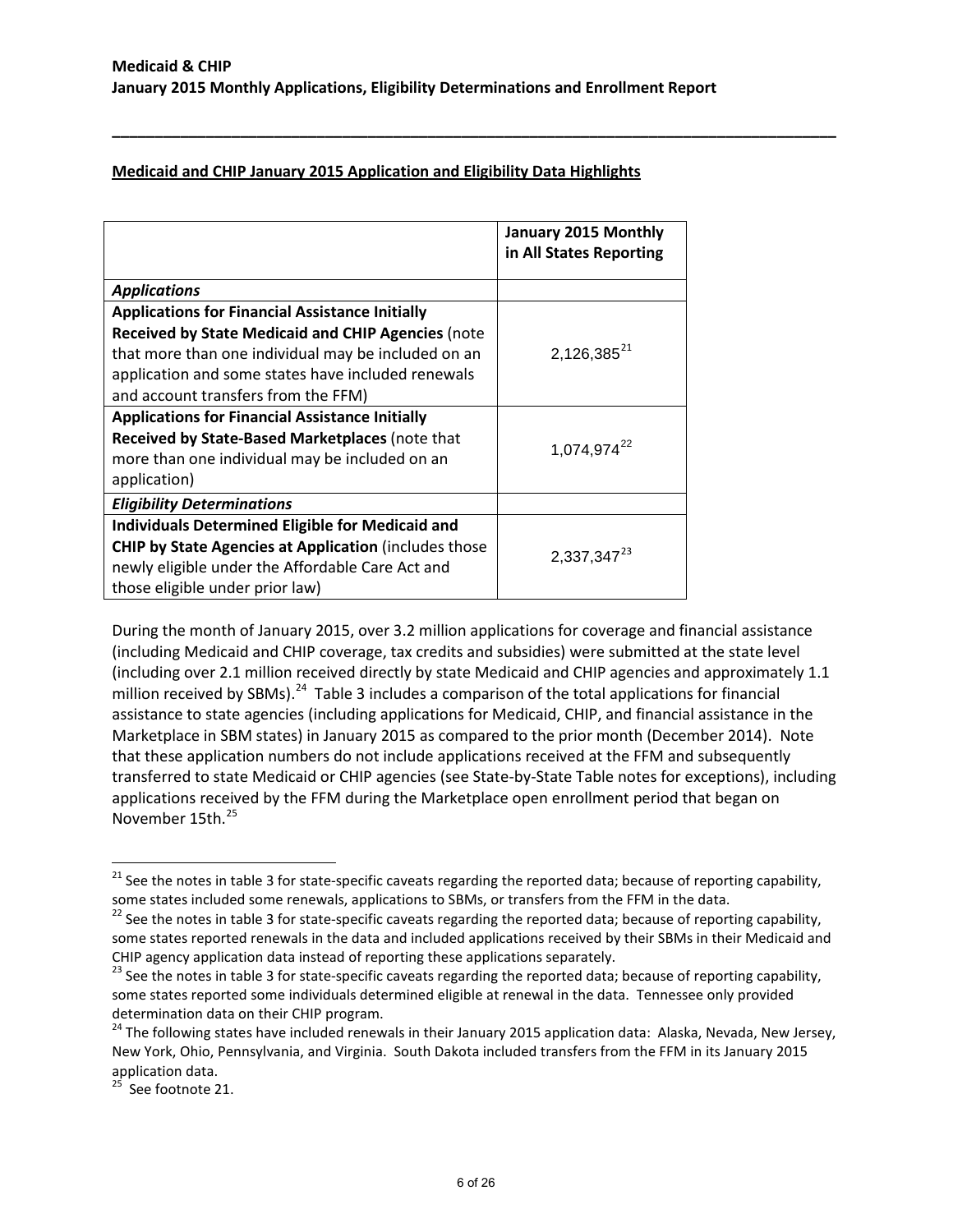**\_\_\_\_\_\_\_\_\_\_\_\_\_\_\_\_\_\_\_\_\_\_\_\_\_\_\_\_\_\_\_\_\_\_\_\_\_\_\_\_\_\_\_\_\_\_\_\_\_\_\_\_\_\_\_\_\_\_\_\_\_\_\_\_\_\_\_\_\_\_\_\_\_\_\_\_\_\_\_\_\_\_\_\_\_**

# **Medicaid and CHIP January 2015 Application and Eligibility Data Highlights**

|                                                              | January 2015 Monthly<br>in All States Reporting |
|--------------------------------------------------------------|-------------------------------------------------|
| <b>Applications</b>                                          |                                                 |
| <b>Applications for Financial Assistance Initially</b>       |                                                 |
| <b>Received by State Medicaid and CHIP Agencies (note</b>    |                                                 |
| that more than one individual may be included on an          | $2,126,385^{21}$                                |
| application and some states have included renewals           |                                                 |
| and account transfers from the FFM)                          |                                                 |
| <b>Applications for Financial Assistance Initially</b>       |                                                 |
| Received by State-Based Marketplaces (note that              | 1,074,974 <sup>22</sup>                         |
| more than one individual may be included on an               |                                                 |
| application)                                                 |                                                 |
| <b>Eligibility Determinations</b>                            |                                                 |
| <b>Individuals Determined Eligible for Medicaid and</b>      |                                                 |
| <b>CHIP by State Agencies at Application (includes those</b> | 2,337,347 <sup>23</sup>                         |
| newly eligible under the Affordable Care Act and             |                                                 |
| those eligible under prior law)                              |                                                 |

During the month of January 2015, over 3.2 million applications for coverage and financial assistance (including Medicaid and CHIP coverage, tax credits and subsidies) were submitted at the state level (including over 2.1 million received directly by state Medicaid and CHIP agencies and approximately 1.1 million received by SBMs).<sup>[24](#page-5-3)</sup> Table 3 includes a comparison of the total applications for financial assistance to state agencies (including applications for Medicaid, CHIP, and financial assistance in the Marketplace in SBM states) in January 2015 as compared to the prior month (December 2014). Note that these application numbers do not include applications received at the FFM and subsequently transferred to state Medicaid or CHIP agencies (see State-by-State Table notes for exceptions), including applications received by the FFM during the Marketplace open enrollment period that began on November 15th. [25](#page-5-4)

<span id="page-5-0"></span><sup>&</sup>lt;sup>21</sup> See the notes in table 3 for state-specific caveats regarding the reported data; because of reporting capability, some states included some renewals, applications to SBMs, or transfers from the FFM in the data.

<span id="page-5-1"></span> $22$  See the notes in table 3 for state-specific caveats regarding the reported data; because of reporting capability, some states reported renewals in the data and included applications received by their SBMs in their Medicaid and CHIP agency application data instead of reporting these applications separately.<br><sup>23</sup> See the notes in table 3 for state-specific caveats regarding the reported data; because of reporting capability,

<span id="page-5-2"></span>some states reported some individuals determined eligible at renewal in the data. Tennessee only provided determination data on their CHIP program.

<span id="page-5-3"></span><sup>&</sup>lt;sup>24</sup> The following states have included renewals in their January 2015 application data: Alaska, Nevada, New Jersey, New York, Ohio, Pennsylvania, and Virginia. South Dakota included transfers from the FFM in its January 2015 application data.

<span id="page-5-4"></span> $25$  See footnote 21.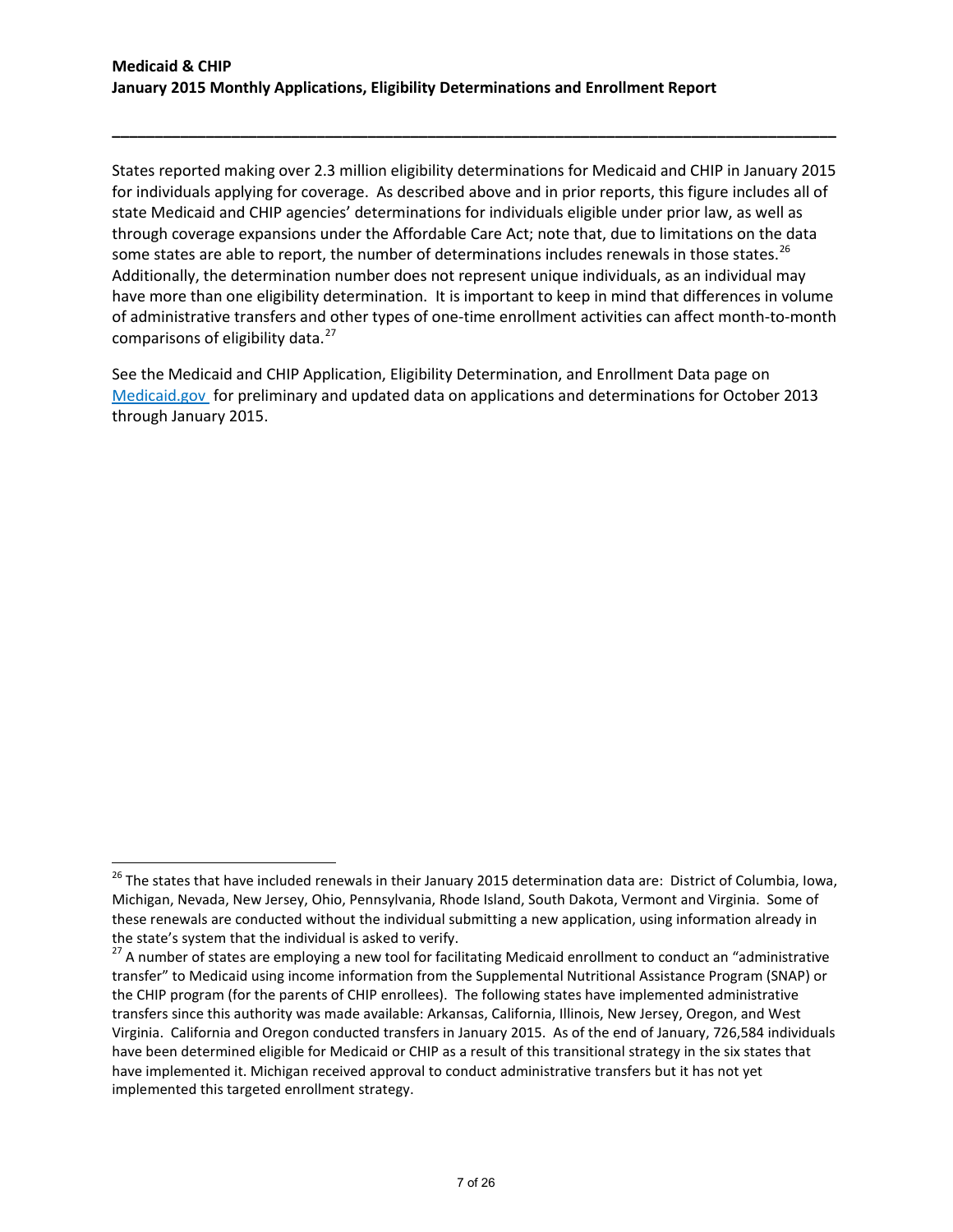States reported making over 2.3 million eligibility determinations for Medicaid and CHIP in January 2015 for individuals applying for coverage. As described above and in prior reports, this figure includes all of state Medicaid and CHIP agencies' determinations for individuals eligible under prior law, as well as through coverage expansions under the Affordable Care Act; note that, due to limitations on the data some states are able to report, the number of determinations includes renewals in those states.<sup>26</sup> Additionally, the determination number does not represent unique individuals, as an individual may have more than one eligibility determination. It is important to keep in mind that differences in volume of administrative transfers and other types of one-time enrollment activities can affect month-to-month comparisons of eligibility data.<sup>[27](#page-6-1)</sup>

**\_\_\_\_\_\_\_\_\_\_\_\_\_\_\_\_\_\_\_\_\_\_\_\_\_\_\_\_\_\_\_\_\_\_\_\_\_\_\_\_\_\_\_\_\_\_\_\_\_\_\_\_\_\_\_\_\_\_\_\_\_\_\_\_\_\_\_\_\_\_\_\_\_\_\_\_\_\_\_\_\_\_\_\_\_**

See the Medicaid and CHIP Application, Eligibility Determination, and Enrollment Data page on [Medicaid.gov](http://www.medicaid.gov/medicaid-chip-program-information/program-information/medicaid-and-chip-enrollment-data/medicaid-and-chip-application-eligibility-determination-and-enrollment-data.html) for preliminary and updated data on applications and determinations for October 2013 through January 2015.

<span id="page-6-0"></span><sup>&</sup>lt;sup>26</sup> The states that have included renewals in their January 2015 determination data are: District of Columbia, Iowa, Michigan, Nevada, New Jersey, Ohio, Pennsylvania, Rhode Island, South Dakota, Vermont and Virginia. Some of these renewals are conducted without the individual submitting a new application, using information already in the state's system that the individual is asked to verify.<br><sup>27</sup> A number of states are employing a new tool for facilitating Medicaid enrollment to conduct an "administrative

<span id="page-6-1"></span>transfer" to Medicaid using income information from the Supplemental Nutritional Assistance Program (SNAP) or the CHIP program (for the parents of CHIP enrollees). The following states have implemented administrative transfers since this authority was made available: Arkansas, California, Illinois, New Jersey, Oregon, and West Virginia. California and Oregon conducted transfers in January 2015. As of the end of January, 726,584 individuals have been determined eligible for Medicaid or CHIP as a result of this transitional strategy in the six states that have implemented it. Michigan received approval to conduct administrative transfers but it has not yet implemented this targeted enrollment strategy.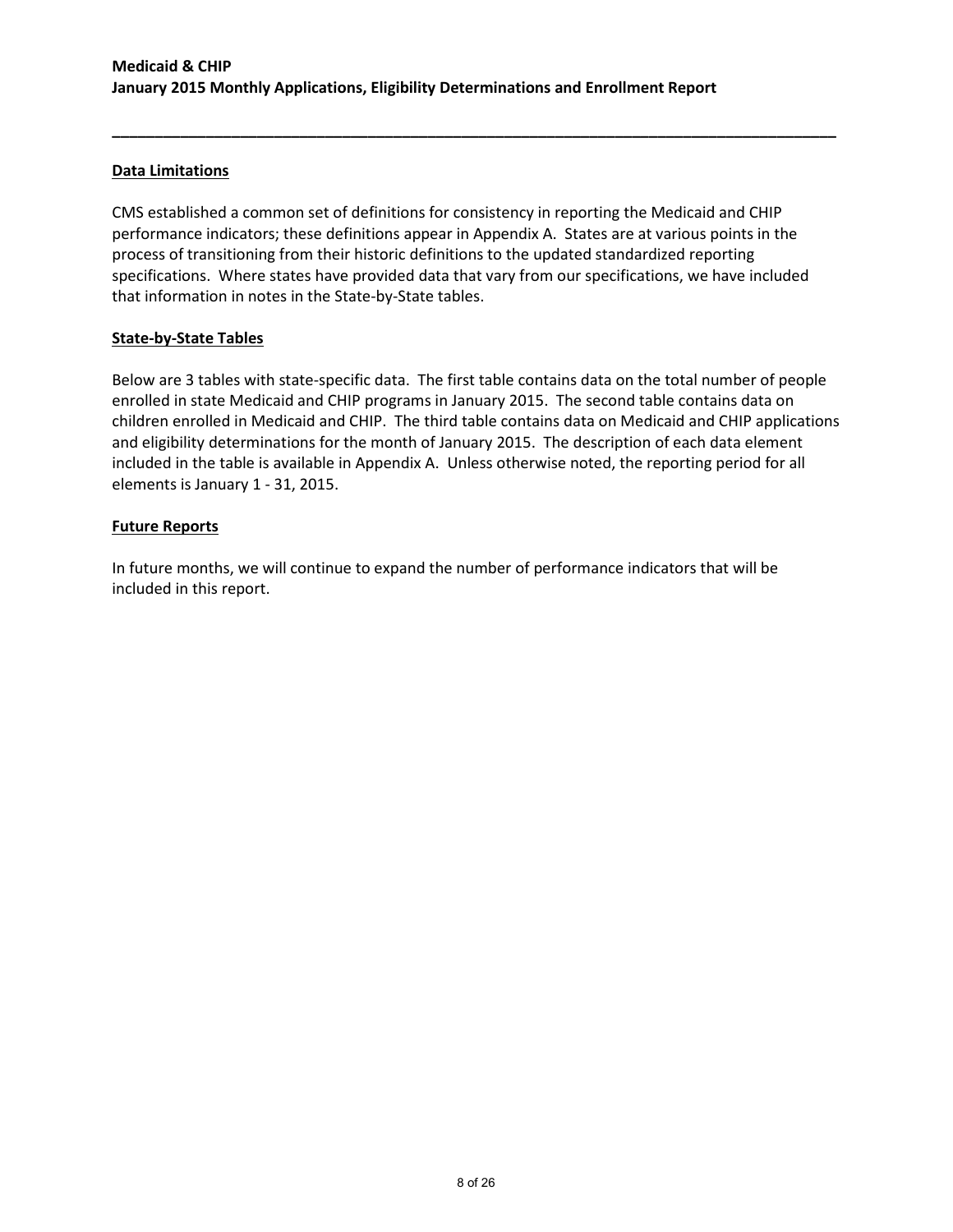# **Data Limitations**

CMS established a common set of definitions for consistency in reporting the Medicaid and CHIP performance indicators; these definitions appear in Appendix A. States are at various points in the process of transitioning from their historic definitions to the updated standardized reporting specifications. Where states have provided data that vary from our specifications, we have included that information in notes in the State-by-State tables.

**\_\_\_\_\_\_\_\_\_\_\_\_\_\_\_\_\_\_\_\_\_\_\_\_\_\_\_\_\_\_\_\_\_\_\_\_\_\_\_\_\_\_\_\_\_\_\_\_\_\_\_\_\_\_\_\_\_\_\_\_\_\_\_\_\_\_\_\_\_\_\_\_\_\_\_\_\_\_\_\_\_\_\_\_\_**

# **State-by-State Tables**

Below are 3 tables with state-specific data. The first table contains data on the total number of people enrolled in state Medicaid and CHIP programs in January 2015. The second table contains data on children enrolled in Medicaid and CHIP. The third table contains data on Medicaid and CHIP applications and eligibility determinations for the month of January 2015. The description of each data element included in the table is available in Appendix A. Unless otherwise noted, the reporting period for all elements is January 1 - 31, 2015.

# **Future Reports**

In future months, we will continue to expand the number of performance indicators that will be included in this report.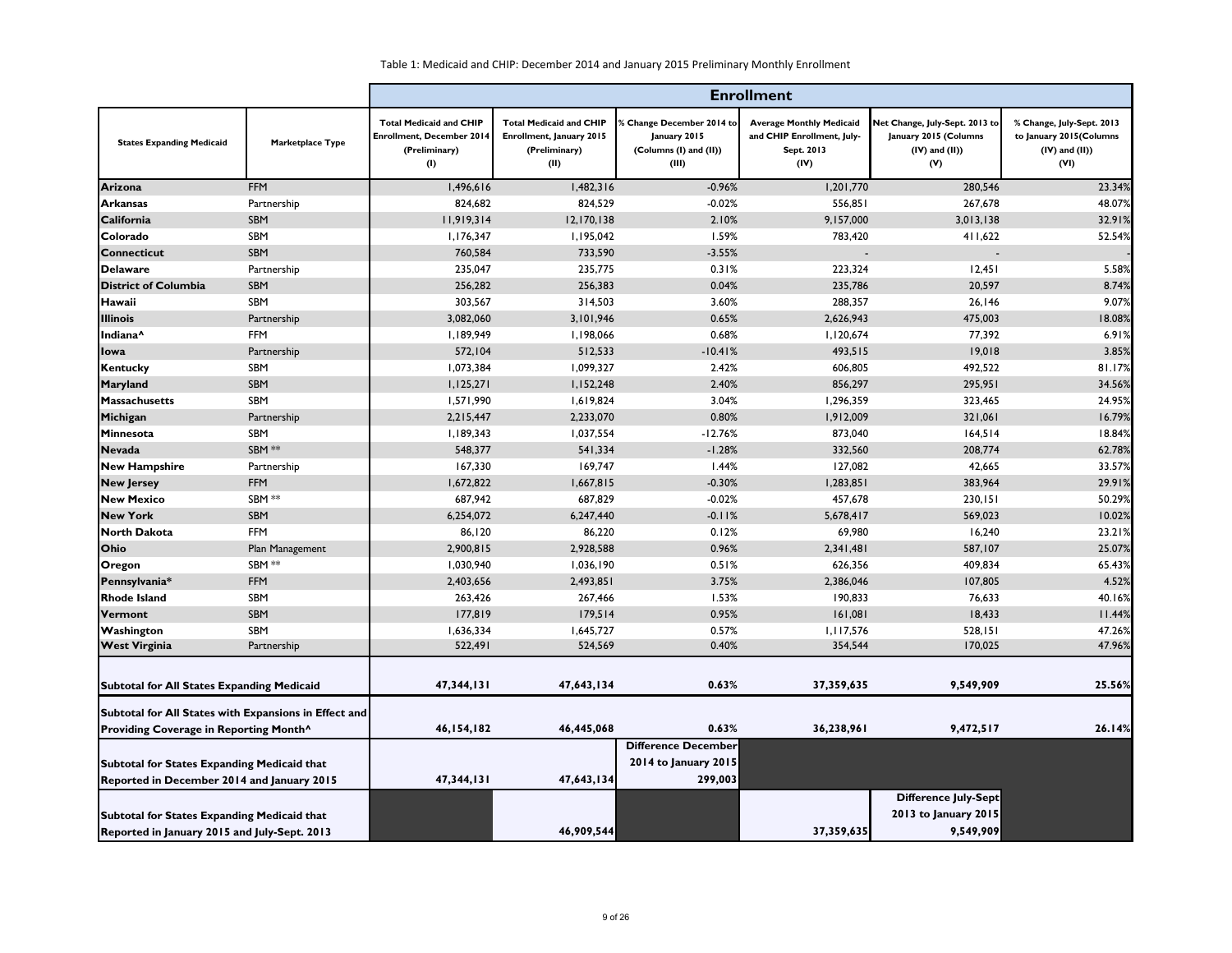|                                                                                                                                     |                  | <b>Enrollment</b>                                                                          |                                                                                     |                                                                                     |                                                                                     |                                                                                       |                                                                                     |  |  |
|-------------------------------------------------------------------------------------------------------------------------------------|------------------|--------------------------------------------------------------------------------------------|-------------------------------------------------------------------------------------|-------------------------------------------------------------------------------------|-------------------------------------------------------------------------------------|---------------------------------------------------------------------------------------|-------------------------------------------------------------------------------------|--|--|
| <b>States Expanding Medicaid</b>                                                                                                    | Marketplace Type | <b>Total Medicaid and CHIP</b><br><b>Enrollment, December 2014</b><br>(Preliminary)<br>(1) | <b>Total Medicaid and CHIP</b><br>Enrollment, January 2015<br>(Preliminary)<br>(II) | <b>6 Change December 2014 to</b><br>January 2015<br>(Columns (I) and (II))<br>(III) | <b>Average Monthly Medicaid</b><br>and CHIP Enrollment, July-<br>Sept. 2013<br>(IV) | Net Change, July-Sept. 2013 to<br>January 2015 (Columns<br>$(IV)$ and $(II)$ )<br>(V) | % Change, July-Sept. 2013<br>to January 2015(Columns<br>$(IV)$ and $(II)$ )<br>(VI) |  |  |
| Arizona                                                                                                                             | <b>FFM</b>       | 1,496,616                                                                                  | 1,482,316                                                                           | $-0.96%$                                                                            | 1,201,770                                                                           | 280,546                                                                               | 23.34%                                                                              |  |  |
| <b>Arkansas</b>                                                                                                                     | Partnership      | 824,682                                                                                    | 824,529                                                                             | $-0.02%$                                                                            | 556,851                                                                             | 267,678                                                                               | 48.07%                                                                              |  |  |
| California                                                                                                                          | SBM              | 11,919,314                                                                                 | 12,170,138                                                                          | 2.10%                                                                               | 9,157,000                                                                           | 3,013,138                                                                             | 32.91%                                                                              |  |  |
| Colorado                                                                                                                            | SBM              | 1,176,347                                                                                  | 1,195,042                                                                           | 1.59%                                                                               | 783,420                                                                             | 411,622                                                                               | 52.54%                                                                              |  |  |
| <b>Connecticut</b>                                                                                                                  | SBM              | 760,584                                                                                    | 733,590                                                                             | $-3.55%$                                                                            | $\overline{a}$                                                                      |                                                                                       |                                                                                     |  |  |
| <b>Delaware</b>                                                                                                                     | Partnership      | 235,047                                                                                    | 235,775                                                                             | 0.31%                                                                               | 223,324                                                                             | 12,451                                                                                | 5.58%                                                                               |  |  |
| <b>District of Columbia</b>                                                                                                         | SBM              | 256,282                                                                                    | 256,383                                                                             | 0.04%                                                                               | 235,786                                                                             | 20,597                                                                                | 8.74%                                                                               |  |  |
| Hawaii                                                                                                                              | SBM              | 303,567                                                                                    | 314,503                                                                             | 3.60%                                                                               | 288,357                                                                             | 26,146                                                                                | 9.07%                                                                               |  |  |
| <b>Illinois</b>                                                                                                                     | Partnership      | 3,082,060                                                                                  | 3,101,946                                                                           | 0.65%                                                                               | 2,626,943                                                                           | 475,003                                                                               | 18.08%                                                                              |  |  |
| Indiana <sup>^</sup>                                                                                                                | <b>FFM</b>       | 1,189,949                                                                                  | 1,198,066                                                                           | 0.68%                                                                               | 1,120,674                                                                           | 77,392                                                                                | 6.91%                                                                               |  |  |
| <b>I</b> lowa                                                                                                                       | Partnership      | 572,104                                                                                    | 512,533                                                                             | $-10.41%$                                                                           | 493,515                                                                             | 19,018                                                                                | 3.85%                                                                               |  |  |
| Kentucky                                                                                                                            | SBM              | 1,073,384                                                                                  | 1,099,327                                                                           | 2.42%                                                                               | 606,805                                                                             | 492,522                                                                               | 81.17%                                                                              |  |  |
| <b>Maryland</b>                                                                                                                     | <b>SBM</b>       | 1,125,271                                                                                  | 1,152,248                                                                           | 2.40%                                                                               | 856,297                                                                             | 295,951                                                                               | 34.56%                                                                              |  |  |
| <b>Massachusetts</b>                                                                                                                | SBM              | 1,571,990                                                                                  | 1,619,824                                                                           | 3.04%                                                                               | 1,296,359                                                                           | 323,465                                                                               | 24.95%                                                                              |  |  |
| Michigan                                                                                                                            | Partnership      | 2,215,447                                                                                  | 2,233,070                                                                           | 0.80%                                                                               | 1,912,009                                                                           | 321,061                                                                               | 16.79%                                                                              |  |  |
| Minnesota                                                                                                                           | SBM              | 1,189,343                                                                                  | 1,037,554                                                                           | $-12.76%$                                                                           | 873,040                                                                             | 164,514                                                                               | 18.84%                                                                              |  |  |
| <b>Nevada</b>                                                                                                                       | SBM **           | 548,377                                                                                    | 541,334                                                                             | $-1.28%$                                                                            | 332,560                                                                             | 208,774                                                                               | 62.78%                                                                              |  |  |
| <b>New Hampshire</b>                                                                                                                | Partnership      | 167,330                                                                                    | 169,747                                                                             | 1.44%                                                                               | 127,082                                                                             | 42,665                                                                                | 33.57%                                                                              |  |  |
| <b>New Jersey</b>                                                                                                                   | <b>FFM</b>       | 1,672,822                                                                                  | 1,667,815                                                                           | $-0.30%$                                                                            | 1,283,851                                                                           | 383,964                                                                               | 29.91%                                                                              |  |  |
| <b>New Mexico</b>                                                                                                                   | SBM **           | 687,942                                                                                    | 687,829                                                                             | $-0.02%$                                                                            | 457,678                                                                             | 230,151                                                                               | 50.29%                                                                              |  |  |
| <b>New York</b>                                                                                                                     | <b>SBM</b>       | 6,254,072                                                                                  | 6,247,440                                                                           | $-0.11%$                                                                            | 5,678,417                                                                           | 569,023                                                                               | 10.02%                                                                              |  |  |
| <b>North Dakota</b>                                                                                                                 | <b>FFM</b>       | 86,120                                                                                     | 86,220                                                                              | 0.12%                                                                               | 69,980                                                                              | 16,240                                                                                | 23.21%                                                                              |  |  |
| <b>Ohio</b>                                                                                                                         | Plan Management  | 2,900,815                                                                                  | 2,928,588                                                                           | 0.96%                                                                               | 2,341,481                                                                           | 587,107                                                                               | 25.07%                                                                              |  |  |
| <b>Oregon</b>                                                                                                                       | SBM **           | 1,030,940                                                                                  | 1,036,190                                                                           | 0.51%                                                                               | 626,356                                                                             | 409,834                                                                               | 65.43%                                                                              |  |  |
| Pennsylvania*                                                                                                                       | <b>FFM</b>       | 2,403,656                                                                                  | 2,493,851                                                                           | 3.75%                                                                               | 2,386,046                                                                           | 107,805                                                                               | 4.52%                                                                               |  |  |
| <b>Rhode Island</b>                                                                                                                 | SBM              | 263,426                                                                                    | 267,466                                                                             | 1.53%                                                                               | 190,833                                                                             | 76,633                                                                                | 40.16%                                                                              |  |  |
| Vermont                                                                                                                             | SBM              | 177,819                                                                                    | 179,514                                                                             | 0.95%                                                                               | 161,081                                                                             | 18,433                                                                                | 11.44%                                                                              |  |  |
| Washington                                                                                                                          | SBM              | 1,636,334                                                                                  | 1,645,727                                                                           | 0.57%                                                                               | 1,117,576                                                                           | 528,151                                                                               | 47.26%                                                                              |  |  |
| <b>West Virginia</b>                                                                                                                | Partnership      | 522,491                                                                                    | 524,569                                                                             | 0.40%                                                                               | 354,544                                                                             | 170,025                                                                               | 47.96%                                                                              |  |  |
| <b>Subtotal for All States Expanding Medicaid</b>                                                                                   |                  | 47,344,131                                                                                 | 47,643,134                                                                          | 0.63%                                                                               | 37,359,635                                                                          | 9,549,909                                                                             | 25.56%                                                                              |  |  |
| Subtotal for All States with Expansions in Effect and                                                                               |                  | 46,154,182                                                                                 | 46,445,068                                                                          | 0.63%                                                                               | 36,238,961                                                                          | 9,472,517                                                                             | 26.14%                                                                              |  |  |
| Providing Coverage in Reporting Month^<br>Subtotal for States Expanding Medicaid that<br>Reported in December 2014 and January 2015 |                  | 47,344,131                                                                                 | 47,643,134                                                                          | <b>Difference December</b><br>2014 to January 2015<br>299,003                       |                                                                                     |                                                                                       |                                                                                     |  |  |
| Subtotal for States Expanding Medicaid that<br>Reported in January 2015 and July-Sept. 2013                                         |                  |                                                                                            | 46,909,544                                                                          |                                                                                     | 37,359,635                                                                          | <b>Difference July-Sept</b><br>2013 to January 2015<br>9,549,909                      |                                                                                     |  |  |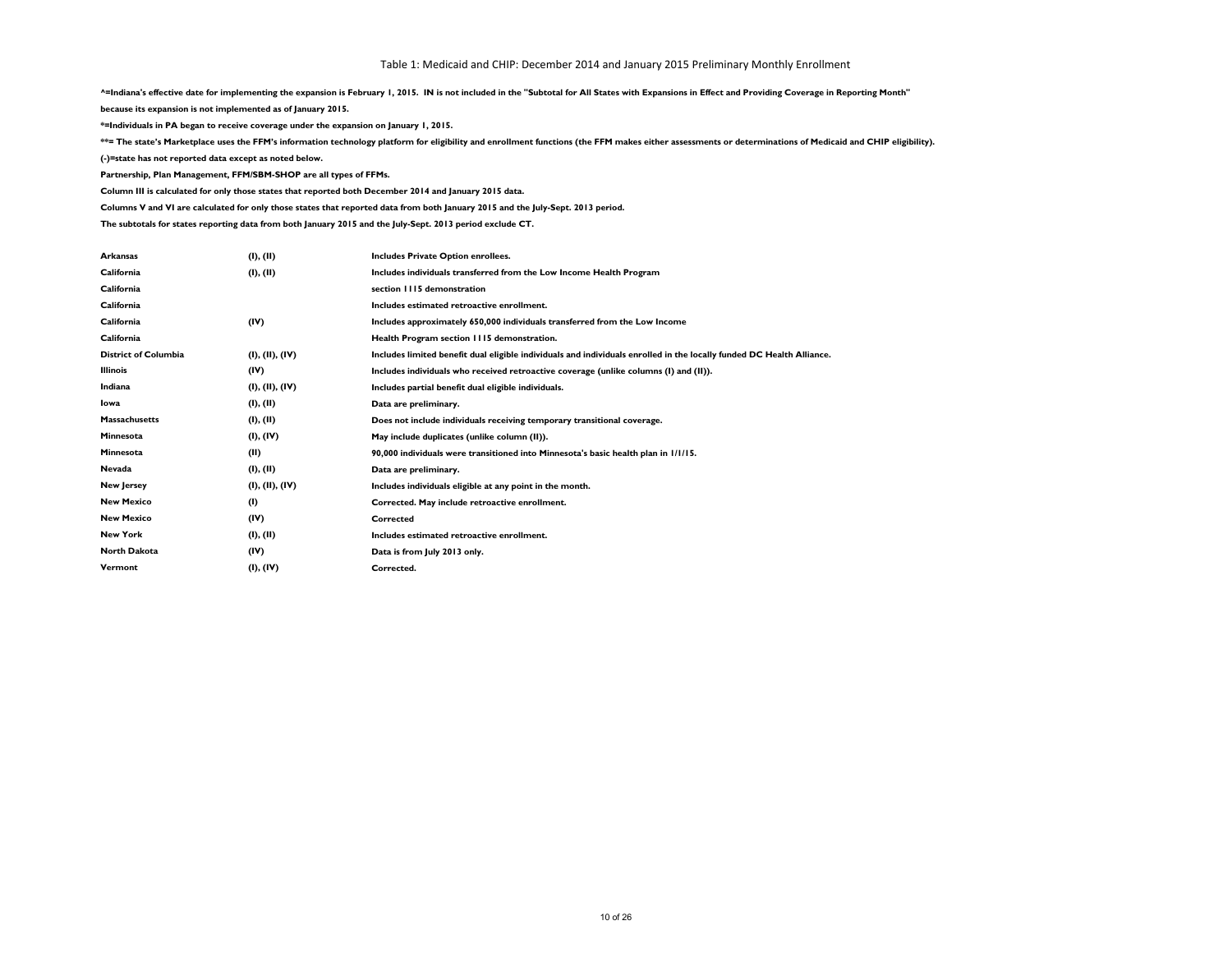**^=Indiana's effective date for implementing the expansion is February 1, 2015. IN is not included in the "Subtotal for All States with Expansions in Effect and Providing Coverage in Reporting Month"**

**because its expansion is not implemented as of January 2015.**

**\*=Individuals in PA began to receive coverage under the expansion on January 1, 2015.**

\*\*= The state's Marketplace uses the FFM's information technology platform for eligibility and enrollment functions (the FFM makes either assessments or determinations of Medicaid and CHIP eligibility).

**(-)=state has not reported data except as noted below.**

**Partnership, Plan Management, FFM/SBM-SHOP are all types of FFMs.**

**Column III is calculated for only those states that reported both December 2014 and January 2015 data.**

**Columns V and VI are calculated for only those states that reported data from both January 2015 and the July-Sept. 2013 period.**

**The subtotals for states reporting data from both January 2015 and the July-Sept. 2013 period exclude CT.**

| <b>Arkansas</b>             | (I), (II)       | Includes Private Option enrollees.                                                                                    |
|-----------------------------|-----------------|-----------------------------------------------------------------------------------------------------------------------|
| California                  | (I), (II)       | Includes individuals transferred from the Low Income Health Program                                                   |
| California                  |                 | section 1115 demonstration                                                                                            |
| California                  |                 | Includes estimated retroactive enrollment.                                                                            |
| California                  | (IV)            | Includes approximately 650,000 individuals transferred from the Low Income                                            |
| California                  |                 | Health Program section 1115 demonstration.                                                                            |
| <b>District of Columbia</b> | (I), (II), (IV) | Includes limited benefit dual eligible individuals and individuals enrolled in the locally funded DC Health Alliance. |
| <b>Illinois</b>             | (IV)            | Includes individuals who received retroactive coverage (unlike columns (I) and (II)).                                 |
| Indiana                     | (I), (II), (IV) | Includes partial benefit dual eligible individuals.                                                                   |
| Iowa                        | (I), (II)       | Data are preliminary.                                                                                                 |
| <b>Massachusetts</b>        | (I), (II)       | Does not include individuals receiving temporary transitional coverage.                                               |
| Minnesota                   | (I), (IV)       | May include duplicates (unlike column (II)).                                                                          |
| Minnesota                   | (II)            | 90,000 individuals were transitioned into Minnesota's basic health plan in 1/1/15.                                    |
| <b>Nevada</b>               | (I), (II)       | Data are preliminary.                                                                                                 |
| <b>New Jersey</b>           | (I), (II), (IV) | Includes individuals eligible at any point in the month.                                                              |
| <b>New Mexico</b>           | (1)             | Corrected. May include retroactive enrollment.                                                                        |
| <b>New Mexico</b>           | (IV)            | <b>Corrected</b>                                                                                                      |
| <b>New York</b>             | (I), (II)       | Includes estimated retroactive enrollment.                                                                            |
| <b>North Dakota</b>         | (IV)            | Data is from July 2013 only.                                                                                          |
| Vermont                     | (I), (IV)       | Corrected.                                                                                                            |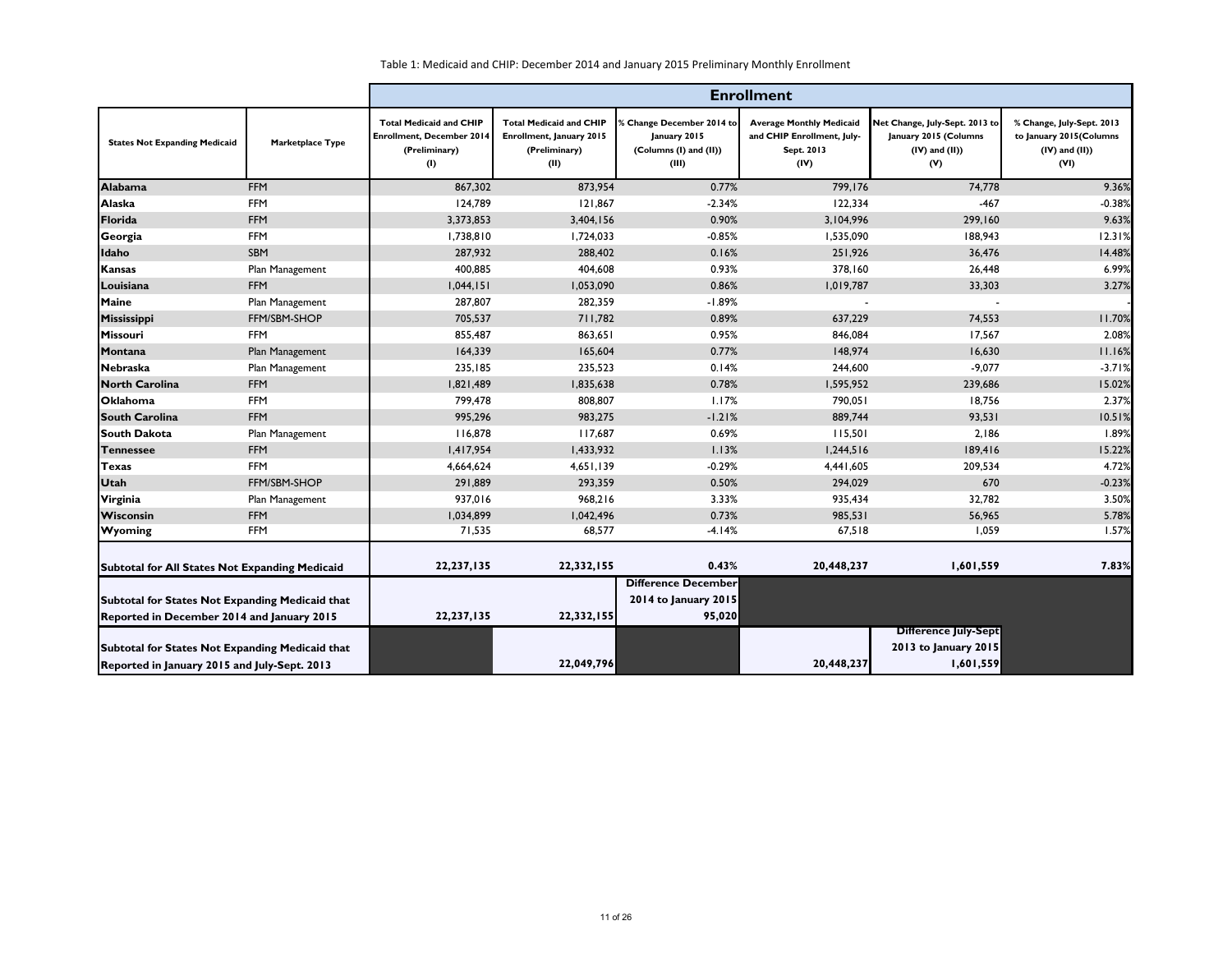|                                                                                                 |                         | <b>Enrollment</b>                                                                          |                                                                                     |                                                                                     |                                                                                     |                                                                                       |                                                                                     |
|-------------------------------------------------------------------------------------------------|-------------------------|--------------------------------------------------------------------------------------------|-------------------------------------------------------------------------------------|-------------------------------------------------------------------------------------|-------------------------------------------------------------------------------------|---------------------------------------------------------------------------------------|-------------------------------------------------------------------------------------|
| <b>States Not Expanding Medicaid</b>                                                            | <b>Marketplace Type</b> | <b>Total Medicaid and CHIP</b><br><b>Enrollment, December 2014</b><br>(Preliminary)<br>(1) | <b>Total Medicaid and CHIP</b><br>Enrollment, January 2015<br>(Preliminary)<br>(II) | <b>6 Change December 2014 to</b><br>January 2015<br>(Columns (I) and (II))<br>(III) | <b>Average Monthly Medicaid</b><br>and CHIP Enrollment, July-<br>Sept. 2013<br>(IV) | Net Change, July-Sept. 2013 to<br>January 2015 (Columns<br>$(IV)$ and $(II)$ )<br>(V) | % Change, July-Sept. 2013<br>to January 2015(Columns<br>$(IV)$ and $(II)$ )<br>(VI) |
| <b>Alabama</b>                                                                                  | <b>FFM</b>              | 867,302                                                                                    | 873,954                                                                             | 0.77%                                                                               | 799,176                                                                             | 74,778                                                                                | 9.36%                                                                               |
| Alaska                                                                                          | <b>FFM</b>              | 124,789                                                                                    | 121,867                                                                             | $-2.34%$                                                                            | 122,334                                                                             | $-467$                                                                                | $-0.38%$                                                                            |
| Florida                                                                                         | <b>FFM</b>              | 3,373,853                                                                                  | 3,404,156                                                                           | 0.90%                                                                               | 3,104,996                                                                           | 299,160                                                                               | 9.63%                                                                               |
| Georgia                                                                                         | <b>FFM</b>              | 1,738,810                                                                                  | 1,724,033                                                                           | $-0.85%$                                                                            | 1,535,090                                                                           | 188,943                                                                               | 12.31%                                                                              |
| Idaho                                                                                           | SBM                     | 287,932                                                                                    | 288,402                                                                             | 0.16%                                                                               | 251,926                                                                             | 36,476                                                                                | 14.48%                                                                              |
| <b>Kansas</b>                                                                                   | Plan Management         | 400,885                                                                                    | 404,608                                                                             | 0.93%                                                                               | 378,160                                                                             | 26,448                                                                                | 6.99%                                                                               |
| Louisiana                                                                                       | <b>FFM</b>              | 1,044,151                                                                                  | 1,053,090                                                                           | 0.86%                                                                               | 1,019,787                                                                           | 33,303                                                                                | 3.27%                                                                               |
| <b>Maine</b>                                                                                    | Plan Management         | 287,807                                                                                    | 282,359                                                                             | $-1.89%$                                                                            |                                                                                     |                                                                                       |                                                                                     |
| Mississippi                                                                                     | FFM/SBM-SHOP            | 705,537                                                                                    | 711,782                                                                             | 0.89%                                                                               | 637,229                                                                             | 74,553                                                                                | 11.70%                                                                              |
| Missouri                                                                                        | <b>FFM</b>              | 855,487                                                                                    | 863,651                                                                             | 0.95%                                                                               | 846,084                                                                             | 17,567                                                                                | 2.08%                                                                               |
| Montana                                                                                         | Plan Management         | 164,339                                                                                    | 165,604                                                                             | 0.77%                                                                               | 148,974                                                                             | 16,630                                                                                | 11.16%                                                                              |
| <b>Nebraska</b>                                                                                 | Plan Management         | 235,185                                                                                    | 235,523                                                                             | 0.14%                                                                               | 244,600                                                                             | $-9,077$                                                                              | $-3.71%$                                                                            |
| <b>North Carolina</b>                                                                           | <b>FFM</b>              | 1,821,489                                                                                  | 1,835,638                                                                           | 0.78%                                                                               | 1,595,952                                                                           | 239,686                                                                               | 15.02%                                                                              |
| <b>Oklahoma</b>                                                                                 | <b>FFM</b>              | 799,478                                                                                    | 808,807                                                                             | 1.17%                                                                               | 790,051                                                                             | 18,756                                                                                | 2.37%                                                                               |
| <b>South Carolina</b>                                                                           | <b>FFM</b>              | 995,296                                                                                    | 983,275                                                                             | $-1.21%$                                                                            | 889,744                                                                             | 93,531                                                                                | 10.51%                                                                              |
| <b>South Dakota</b>                                                                             | Plan Management         | 116,878                                                                                    | 117,687                                                                             | 0.69%                                                                               | 115,501                                                                             | 2,186                                                                                 | 1.89%                                                                               |
| <b>Tennessee</b>                                                                                | <b>FFM</b>              | 1,417,954                                                                                  | 1,433,932                                                                           | 1.13%                                                                               | 1,244,516                                                                           | 189,416                                                                               | 15.22%                                                                              |
| Texas                                                                                           | <b>FFM</b>              | 4,664,624                                                                                  | 4,651,139                                                                           | $-0.29%$                                                                            | 4,441,605                                                                           | 209,534                                                                               | 4.72%                                                                               |
| <b>Utah</b>                                                                                     | FFM/SBM-SHOP            | 291,889                                                                                    | 293,359                                                                             | 0.50%                                                                               | 294,029                                                                             | 670                                                                                   | $-0.23%$                                                                            |
| Virginia                                                                                        | Plan Management         | 937,016                                                                                    | 968,216                                                                             | 3.33%                                                                               | 935,434                                                                             | 32,782                                                                                | 3.50%                                                                               |
| Wisconsin                                                                                       | <b>FFM</b>              | 1,034,899                                                                                  | 1,042,496                                                                           | 0.73%                                                                               | 985,531                                                                             | 56,965                                                                                | 5.78%                                                                               |
| <b>Wyoming</b>                                                                                  | <b>FFM</b>              | 71,535                                                                                     | 68,577                                                                              | $-4.14%$                                                                            | 67,518                                                                              | 1,059                                                                                 | 1.57%                                                                               |
| Subtotal for All States Not Expanding Medicaid                                                  |                         | 22,237,135                                                                                 | 22,332,155                                                                          | 0.43%                                                                               | 20,448,237                                                                          | 1,601,559                                                                             | 7.83%                                                                               |
| Subtotal for States Not Expanding Medicaid that<br>Reported in December 2014 and January 2015   |                         | 22,237,135                                                                                 | 22,332,155                                                                          | <b>Difference December</b><br>2014 to January 2015<br>95,020                        |                                                                                     |                                                                                       |                                                                                     |
| Subtotal for States Not Expanding Medicaid that<br>Reported in January 2015 and July-Sept. 2013 |                         |                                                                                            | 22,049,796                                                                          |                                                                                     | 20,448,237                                                                          | <b>Difference July-Sept</b><br>2013 to January 2015<br>1,601,559                      |                                                                                     |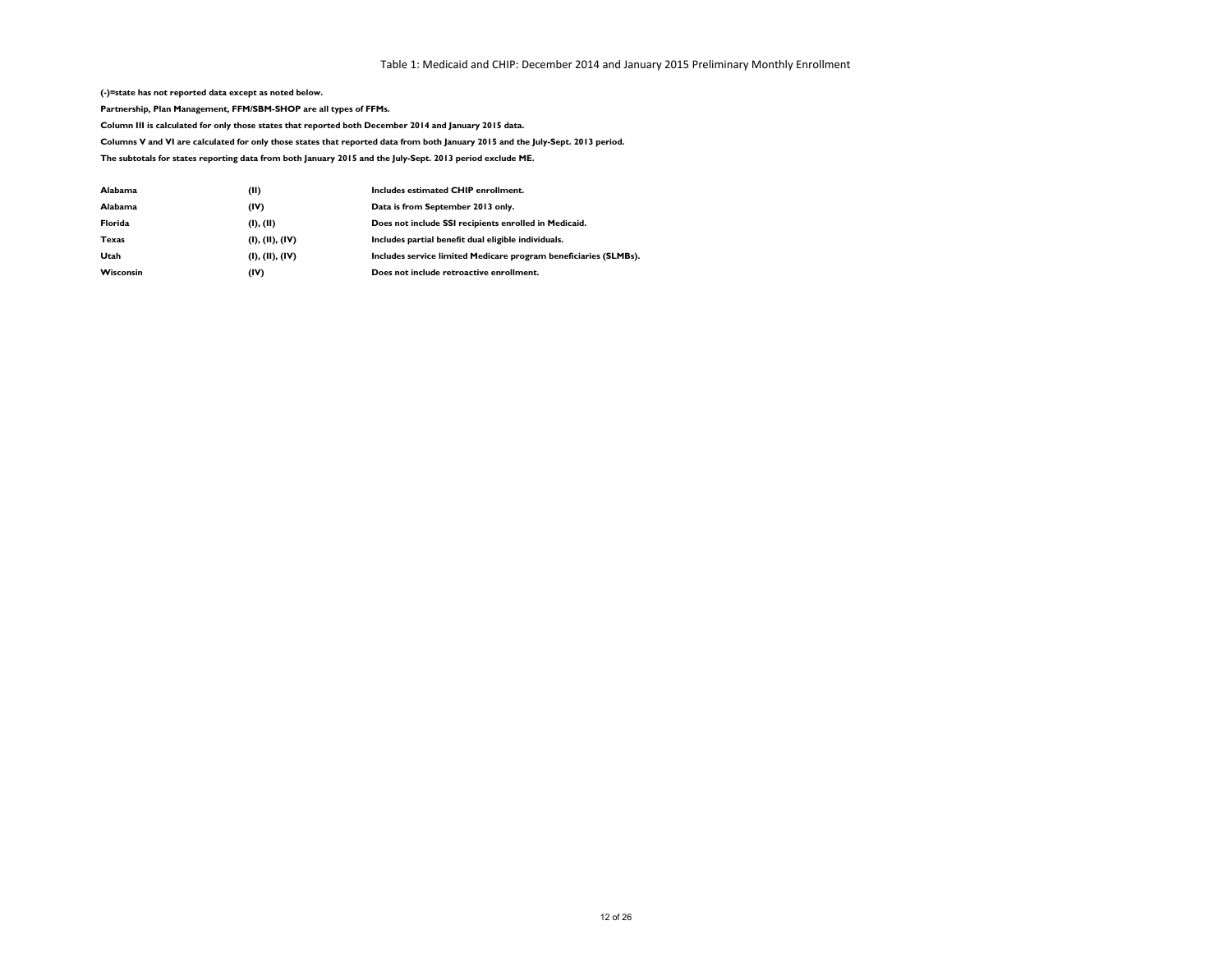**(-)=state has not reported data except as noted below.**

**Partnership, Plan Management, FFM/SBM-SHOP are all types of FFMs.**

**Column III is calculated for only those states that reported both December 2014 and January 2015 data.**

**Columns V and VI are calculated for only those states that reported data from both January 2015 and the July-Sept. 2013 period.**

**The subtotals for states reporting data from both January 2015 and the July-Sept. 2013 period exclude ME.**

| Includes service limited Medicare program beneficiaries (SLMBs). |
|------------------------------------------------------------------|
|                                                                  |
|                                                                  |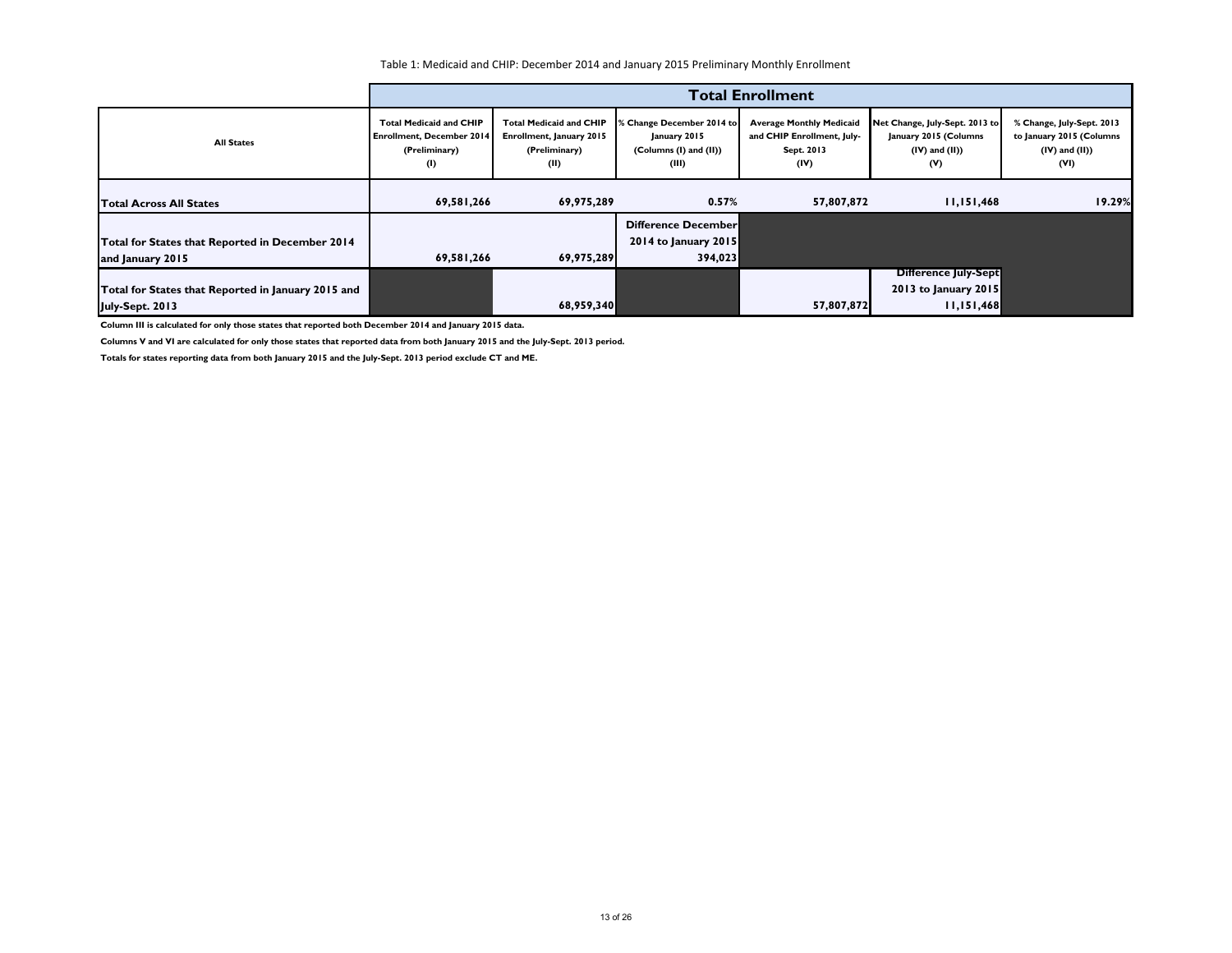|                                                                       | <b>Total Enrollment</b>                                                                    |                                                                                     |                                                                              |                                                                                     |                                                                                       |                                                                                      |  |
|-----------------------------------------------------------------------|--------------------------------------------------------------------------------------------|-------------------------------------------------------------------------------------|------------------------------------------------------------------------------|-------------------------------------------------------------------------------------|---------------------------------------------------------------------------------------|--------------------------------------------------------------------------------------|--|
| <b>All States</b>                                                     | <b>Total Medicaid and CHIP</b><br><b>Enrollment, December 2014</b><br>(Preliminary)<br>(1) | <b>Total Medicaid and CHIP</b><br>Enrollment, January 2015<br>(Preliminary)<br>(II) | % Change December 2014 to<br>January 2015<br>(Columns (I) and (II))<br>(III) | <b>Average Monthly Medicaid</b><br>and CHIP Enrollment, July-<br>Sept. 2013<br>(IV) | Net Change, July-Sept. 2013 to<br>January 2015 (Columns<br>$(IV)$ and $(II)$ )<br>(V) | % Change, July-Sept. 2013<br>to January 2015 (Columns<br>$(IV)$ and $(II)$ )<br>(VI) |  |
| <b>Total Across All States</b>                                        | 69,581,266                                                                                 | 69,975,289                                                                          | 0.57%                                                                        | 57,807,872                                                                          | 11,151,468                                                                            | 19.29%                                                                               |  |
| Total for States that Reported in December 2014<br>and January 2015   | 69,581,266                                                                                 | 69,975,289                                                                          | Difference December<br>2014 to January 2015<br>394,023                       |                                                                                     |                                                                                       |                                                                                      |  |
| Total for States that Reported in January 2015 and<br>July-Sept. 2013 |                                                                                            | 68,959,340                                                                          |                                                                              | 57,807,872                                                                          | <b>Difference July-Sept</b><br>2013 to January 2015<br>11,151,468                     |                                                                                      |  |

**Column III is calculated for only those states that reported both December 2014 and January 2015 data.**

**Columns V and VI are calculated for only those states that reported data from both January 2015 and the July-Sept. 2013 period.**

**Totals for states reporting data from both January 2015 and the July-Sept. 2013 period exclude CT and ME.**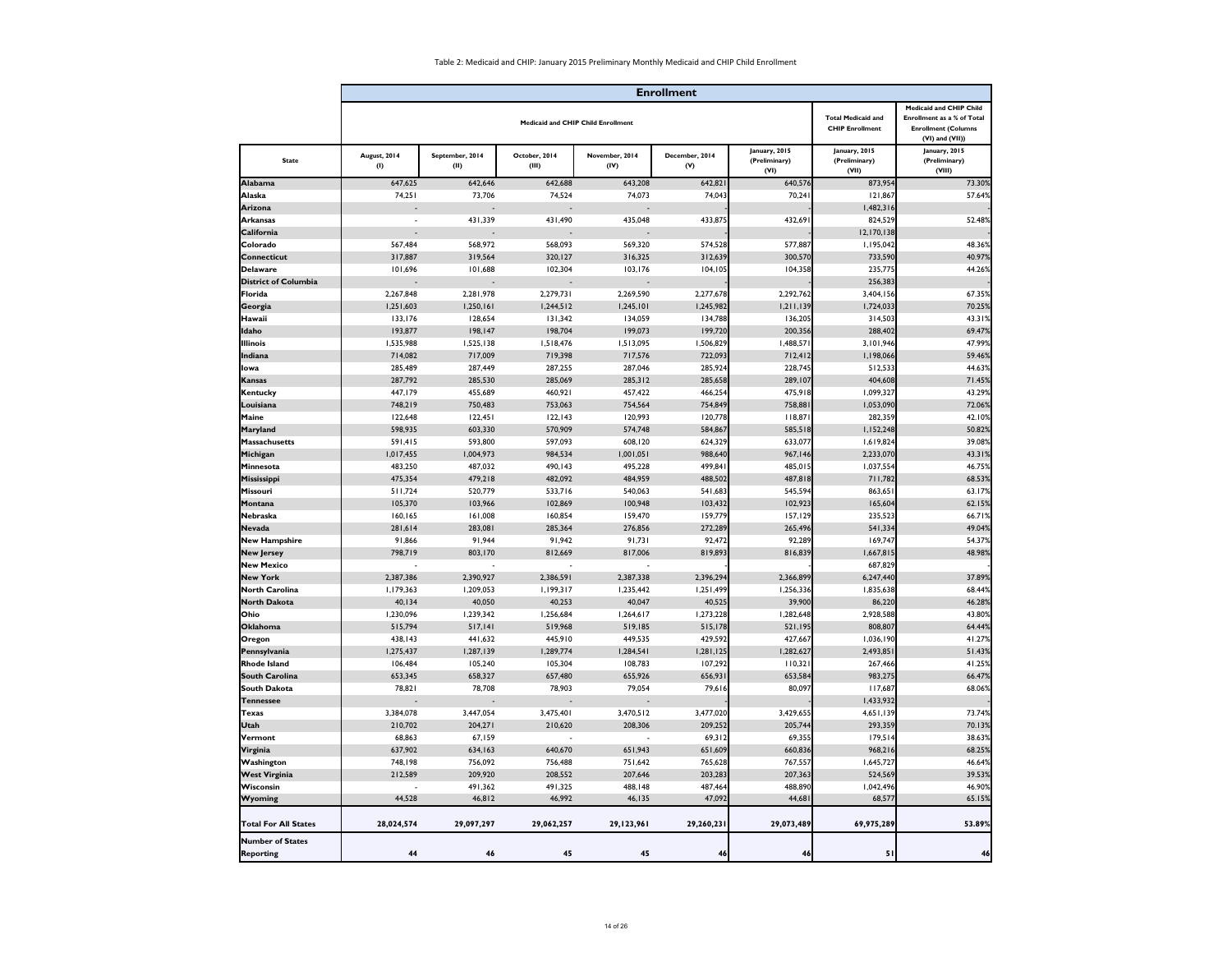|                                             |                     |                         |                        |                                           | <b>Enrollment</b>     |                                        |                                                     |                                                                                                                           |
|---------------------------------------------|---------------------|-------------------------|------------------------|-------------------------------------------|-----------------------|----------------------------------------|-----------------------------------------------------|---------------------------------------------------------------------------------------------------------------------------|
|                                             |                     |                         |                        | <b>Medicaid and CHIP Child Enrollment</b> |                       |                                        | <b>Total Medicaid and</b><br><b>CHIP Enrollment</b> | <b>Medicaid and CHIP Child</b><br><b>Enrollment as a % of Total</b><br><b>Enrollment (Columns</b><br>$(VI)$ and $(VII)$ ) |
| <b>State</b>                                | August, 2014<br>(1) | September, 2014<br>(II) | October, 2014<br>(III) | November, 2014<br>(IV)                    | December, 2014<br>(V) | January, 2015<br>(Preliminary)<br>(VI) | January, 2015<br>(Preliminary)<br>(VII)             | January, 2015<br>(Preliminary)<br>(VIII)                                                                                  |
| Alabama                                     | 647,625             | 642,646                 | 642,688                | 643,208                                   | 642,821               | 640,576                                | 873,954                                             | 73.30%                                                                                                                    |
| Alaska                                      | 74,251              | 73,706                  | 74,524                 | 74,073                                    | 74,043                | 70,241                                 | 121,867                                             | 57.64%                                                                                                                    |
| Arizona                                     |                     |                         |                        |                                           |                       |                                        | 1,482,316                                           |                                                                                                                           |
| <b>Arkansas</b>                             |                     | 431,339                 | 431,490                | 435,048                                   | 433,875               | 432,691                                | 824,529                                             | 52.48%                                                                                                                    |
| <b>California</b>                           |                     |                         |                        |                                           |                       |                                        | 12,170,138                                          |                                                                                                                           |
| Colorado                                    | 567,484             | 568,972                 | 568,093                | 569,320                                   | 574,528               | 577,887                                | 1,195,042                                           | 48.36%                                                                                                                    |
| <b>Connecticut</b>                          | 317,887             | 319,564                 | 320,127                | 316,325                                   | 312,639               | 300,570                                | 733,590                                             | 40.97%                                                                                                                    |
| <b>Delaware</b>                             | 101,696             | 101,688                 | 102,304                | 103,176                                   | 104, 105              | 104,358                                | 235,775                                             | 44.26%                                                                                                                    |
| <b>District of Columbia</b>                 |                     |                         | <b>Service State</b>   | <b>Service State</b>                      |                       |                                        | 256,383                                             |                                                                                                                           |
| Florida                                     | 2,267,848           | 2,281,978               | 2,279,731              | 2,269,590                                 | 2,277,678             | 2,292,762                              | 3,404,156                                           | 67.35%                                                                                                                    |
| Georgia                                     | 1,251,603           | 1,250,161               | 1,244,512              | 1,245,101                                 | 1,245,982             | 1,211,139                              | 1,724,033                                           | 70.25%                                                                                                                    |
| Hawaii                                      | 133,176             | 128,654                 | 131,342                | 134,059                                   | 134,788               | 136,205                                | 314,503                                             | 43.31%                                                                                                                    |
| Idaho                                       | 193,877             | 198,147                 | 198,704                | 199,073                                   | 199,720               | 200,356                                | 288,402                                             | 69.47%                                                                                                                    |
| <b>Illinois</b>                             | 1,535,988           | 1,525,138               | 1,518,476              | 1,513,095                                 | 1,506,829             | 1,488,571                              | 3,101,946                                           | 47.99%                                                                                                                    |
| Indiana                                     | 714,082             | 717,009                 | 719,398                | 717,576                                   | 722,093               | 712,412                                | 1,198,066                                           | 59.46%                                                                                                                    |
| Ilowa                                       | 285,489             | 287,449                 | 287,255                | 287,046                                   | 285,924               | 228,745                                | 512,533                                             | 44.63%                                                                                                                    |
| Kansas                                      | 287,792             | 285,530                 | 285,069                | 285,312                                   | 285,658               | 289,107                                | 404,608                                             | 71.45%                                                                                                                    |
| Kentucky                                    | 447,179             | 455,689                 | 460,921                | 457,422                                   | 466,254               | 475,918                                | 1,099,327                                           | 43.29%                                                                                                                    |
| Louisiana                                   | 748,219             | 750,483                 | 753,063                | 754,564                                   | 754,849               | 758,881                                | 1,053,090                                           | 72.06%                                                                                                                    |
| Maine                                       | 122,648             | 122,451                 | 122, 143               | 120,993                                   | 120,778               | 118,871                                | 282,359                                             | 42.10%                                                                                                                    |
| <b>Maryland</b>                             | 598,935             | 603,330                 | 570,909                | 574,748                                   | 584,867               | 585,518                                | 1,152,248                                           | 50.82%                                                                                                                    |
| Massachusetts                               | 591,415             | 593,800                 | 597,093                | 608,120                                   | 624,329               | 633,077                                | 1,619,824                                           | 39.08%                                                                                                                    |
| Michigan                                    | 1,017,455           | 1,004,973               | 984,534                | 1,001,051                                 | 988,640               | 967,146                                | 2,233,070                                           | 43.31%                                                                                                                    |
| Minnesota                                   | 483,250             | 487,032                 | 490,143                | 495,228                                   | 499,841               | 485,015                                | 1,037,554                                           | 46.75%                                                                                                                    |
| <b>Mississippi</b>                          | 475,354             | 479,218                 | 482,092                | 484,959                                   | 488,502               | 487,818<br>545,594                     | 711,782                                             | 68.53%                                                                                                                    |
| Missouri                                    | 511,724<br>105,370  | 520,779<br>103,966      | 533,716<br>102,869     | 540,063<br>100,948                        | 541,683<br>103,432    | 102,923                                | 863,651<br>165,604                                  | 63.17%<br>62.15%                                                                                                          |
| Montana<br><b>Nebraska</b>                  | 160, 165            | 161,008                 | 160,854                | 159,470                                   | 159,779               | 157,129                                | 235,523                                             | 66.71%                                                                                                                    |
| <b>Nevada</b>                               | 281,614             | 283,081                 | 285,364                | 276,856                                   | 272,289               | 265,496                                | 541,334                                             | 49.04%                                                                                                                    |
| <b>New Hampshire</b>                        | 91,866              | 91,944                  | 91,942                 | 91,731                                    | 92,472                | 92,289                                 | 169,747                                             | 54.37%                                                                                                                    |
| <b>New Jersey</b>                           | 798,719             | 803,170                 | 812,669                | 817,006                                   | 819,893               | 816,839                                | 1,667,815                                           | 48.98%                                                                                                                    |
| <b>New Mexico</b>                           |                     |                         | $\blacksquare$         | $\sim$                                    |                       |                                        | 687,829                                             |                                                                                                                           |
| <b>New York</b>                             | 2,387,386           | 2,390,927               | 2,386,591              | 2,387,338                                 | 2,396,294             | 2,366,899                              | 6,247,440                                           | 37.89%                                                                                                                    |
| <b>North Carolina</b>                       | 1,179,363           | 1,209,053               | 1,199,317              | 1,235,442                                 | 1,251,499             | 1,256,336                              | 1,835,638                                           | 68.44%                                                                                                                    |
| <b>North Dakota</b>                         | 40,134              | 40,050                  | 40,253                 | 40,047                                    | 40,525                | 39,900                                 | 86,220                                              | 46.28%                                                                                                                    |
| Ohio                                        | 1,230,096           | 1,239,342               | 1,256,684              | 1,264,617                                 | 1,273,228             | 1,282,648                              | 2,928,588                                           | 43.80%                                                                                                                    |
| <b>Oklahoma</b>                             | 515,794             | 517,141                 | 519,968                | 519,185                                   | 515,178               | 521,195                                | 808,807                                             | 64.44%                                                                                                                    |
| <b>Oregon</b>                               | 438,143             | 441,632                 | 445,910                | 449,535                                   | 429,592               | 427,667                                | 1,036,190                                           | 41.27%                                                                                                                    |
| Pennsylvania                                | 1,275,437           | 1,287,139               | 1,289,774              | 1,284,541                                 | 1,281,125             | 1,282,627                              | 2,493,851                                           | 51.43%                                                                                                                    |
| <b>Rhode Island</b>                         | 106,484             | 105,240                 | 105,304                | 108,783                                   | 107,292               | 110,321                                | 267,466                                             | 41.25%                                                                                                                    |
| <b>South Carolina</b>                       | 653,345             | 658,327                 | 657,480                | 655,926                                   | 656,931               | 653,584                                | 983,275                                             | 66.47%                                                                                                                    |
| <b>South Dakota</b>                         | 78,821              | 78,708                  | 78,903                 | 79,054                                    | 79,616                | 80,097                                 | 117,687                                             | 68.06%                                                                                                                    |
| <b>Tennessee</b>                            | $\sim$              |                         | $\sim$                 | $\sim$                                    |                       |                                        | 1,433,932                                           |                                                                                                                           |
| Texas                                       | 3,384,078           | 3,447,054               | 3,475,401              | 3,470,512                                 | 3,477,020             | 3,429,655                              | 4,651,139                                           | 73.74%                                                                                                                    |
| <b>Utah</b>                                 | 210,702             | 204,271                 | 210,620                | 208,306                                   | 209,252               | 205,744                                | 293,359                                             | 70.13%                                                                                                                    |
| Vermont                                     | 68,863              | 67,159                  |                        |                                           | 69,312                | 69,355                                 | 179,514                                             | 38.63%                                                                                                                    |
| Virginia                                    | 637,902             | 634,163                 | 640,670                | 651,943                                   | 651,609               | 660,836                                | 968,216                                             | 68.25%                                                                                                                    |
| Washington                                  | 748,198             | 756,092                 | 756,488                | 751,642                                   | 765,628               | 767,557                                | 1,645,727                                           | 46.64%                                                                                                                    |
| <b>West Virginia</b>                        | 212,589             | 209,920                 | 208,552                | 207,646                                   | 203,283               | 207,363                                | 524,569                                             | 39.53%                                                                                                                    |
| Wisconsin                                   |                     | 491,362                 | 491,325                | 488,148                                   | 487,464               | 488,890                                | 1,042,496                                           | 46.90%                                                                                                                    |
| <b>Wyoming</b>                              | 44,528              | 46,812                  | 46,992                 | 46,135                                    | 47,092                | 44,681                                 | 68,577                                              | 65.15%                                                                                                                    |
| <b>Total For All States</b>                 | 28,024,574          | 29,097,297              | 29,062,257             | 29,123,961                                | 29,260,231            | 29,073,489                             | 69,975,289                                          | 53.89%                                                                                                                    |
| <b>Number of States</b><br><b>Reporting</b> | 44                  | 46                      | 45                     | 45                                        | 46                    | 46                                     | 51                                                  | 46                                                                                                                        |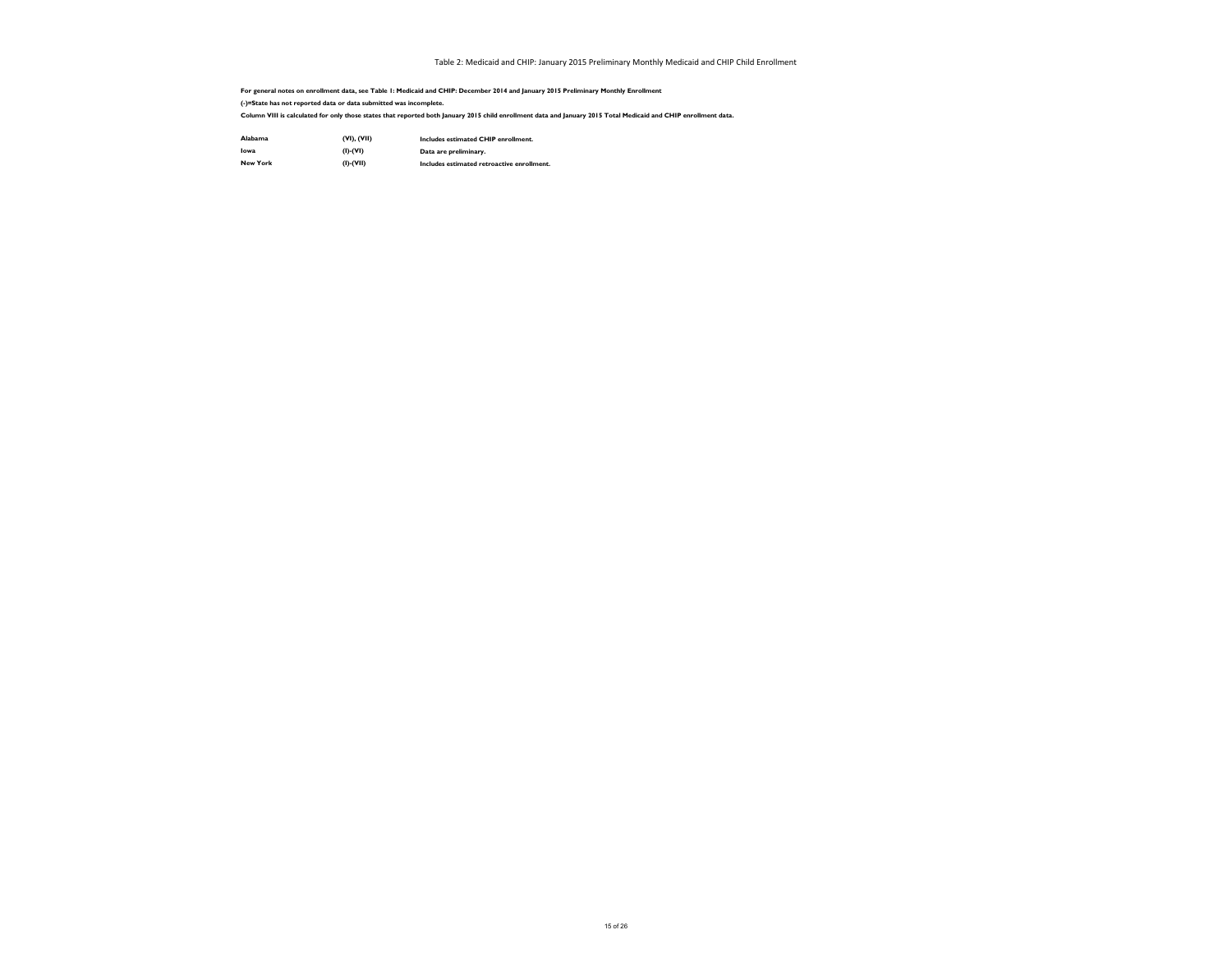| <b>Alabama</b> | (VI), (VII)     |
|----------------|-----------------|
| <b>lowa</b>    | $(I)$ - $(VI)$  |
| New York       | $(I)$ - $(VII)$ |

**Includes estimated CHIP enrollment. Data are preliminary. Includes estimated retroactive enrollment.**

**For general notes on enrollment data, see Table 1: Medicaid and CHIP: December 2014 and January 2015 Preliminary Monthly Enrollment (-)=State has not reported data or data submitted was incomplete.**

**Column VIII is calculated for only those states that reported both January 2015 child enrollment data and January 2015 Total Medicaid and CHIP enrollment data.**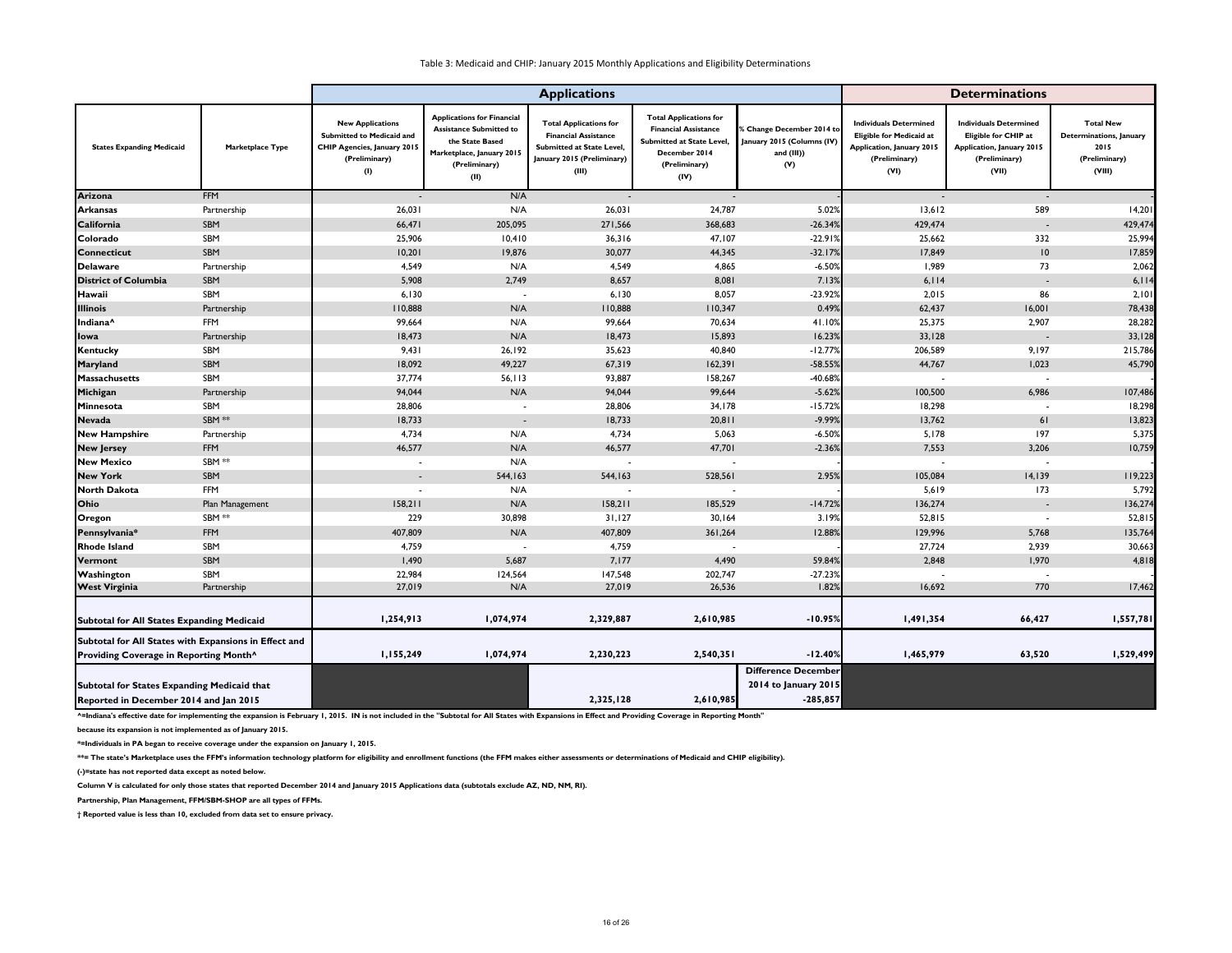|                                                       |                         | <b>Applications</b>                                                                                                |                                                                                                                                              |                                                                                                                                  |                                                                                                                                           |                                                                                 |                                                                                                                               | <b>Determinations</b>                                                                                               |                                                                                |
|-------------------------------------------------------|-------------------------|--------------------------------------------------------------------------------------------------------------------|----------------------------------------------------------------------------------------------------------------------------------------------|----------------------------------------------------------------------------------------------------------------------------------|-------------------------------------------------------------------------------------------------------------------------------------------|---------------------------------------------------------------------------------|-------------------------------------------------------------------------------------------------------------------------------|---------------------------------------------------------------------------------------------------------------------|--------------------------------------------------------------------------------|
| <b>States Expanding Medicaid</b>                      | <b>Marketplace Type</b> | <b>New Applications</b><br>Submitted to Medicaid and<br><b>CHIP Agencies, January 2015</b><br>(Preliminary)<br>(1) | <b>Applications for Financial</b><br><b>Assistance Submitted to</b><br>the State Based<br>Marketplace, January 2015<br>(Preliminary)<br>(II) | <b>Total Applications for</b><br><b>Financial Assistance</b><br>Submitted at State Level,<br>January 2015 (Preliminary)<br>(III) | <b>Total Applications for</b><br><b>Financial Assistance</b><br><b>Submitted at State Level</b><br>December 2014<br>(Preliminary)<br>(IV) | % Change December 2014 to<br>January 2015 (Columns (IV)<br>and $(III)$ )<br>(V) | <b>Individuals Determined</b><br><b>Eligible for Medicaid at</b><br><b>Application, January 2015</b><br>(Preliminary)<br>(VI) | <b>Individuals Determined</b><br>Eligible for CHIP at<br><b>Application, January 2015</b><br>(Preliminary)<br>(VII) | <b>Total New</b><br>Determinations, January<br>2015<br>(Preliminary)<br>(VIII) |
| <b>Arizona</b>                                        | <b>FFM</b>              | $\overline{\phantom{a}}$                                                                                           | N/A                                                                                                                                          | $\overline{\phantom{a}}$                                                                                                         | $\sim$                                                                                                                                    |                                                                                 | $\sim$                                                                                                                        | $\overline{\phantom{a}}$                                                                                            |                                                                                |
| <b>Arkansas</b>                                       | Partnership             | 26,031                                                                                                             | N/A                                                                                                                                          | 26,031                                                                                                                           | 24,787                                                                                                                                    | 5.02%                                                                           | 13,612                                                                                                                        | 589                                                                                                                 | 14,201                                                                         |
| California                                            | SBM                     | 66,471                                                                                                             | 205,095                                                                                                                                      | 271,566                                                                                                                          | 368,683                                                                                                                                   | $-26.34%$                                                                       | 429,474                                                                                                                       | $\overline{\phantom{a}}$                                                                                            | 429,474                                                                        |
| Colorado                                              | SBM                     | 25,906                                                                                                             | 10,410                                                                                                                                       | 36,316                                                                                                                           | 47,107                                                                                                                                    | $-22.91%$                                                                       | 25,662                                                                                                                        | 332                                                                                                                 | 25,994                                                                         |
| <b>Connecticut</b>                                    | SBM                     | 10,201                                                                                                             | 19,876                                                                                                                                       | 30,077                                                                                                                           | 44,345                                                                                                                                    | $-32.17%$                                                                       | 17,849                                                                                                                        | 10 <sup>°</sup>                                                                                                     | 17,859                                                                         |
| <b>Delaware</b>                                       | Partnership             | 4,549                                                                                                              | N/A                                                                                                                                          | 4,549                                                                                                                            | 4,865                                                                                                                                     | $-6.50%$                                                                        | 1,989                                                                                                                         | 73                                                                                                                  | 2,062                                                                          |
| <b>District of Columbia</b>                           | SBM                     | 5,908                                                                                                              | 2,749                                                                                                                                        | 8,657                                                                                                                            | 8,081                                                                                                                                     | 7.13%                                                                           | 6,114                                                                                                                         | $\sim$                                                                                                              | 6,114                                                                          |
| Hawaii                                                | SBM                     | 6,130                                                                                                              | $\overline{\phantom{a}}$                                                                                                                     | 6,130                                                                                                                            | 8,057                                                                                                                                     | $-23.92%$                                                                       | 2,015                                                                                                                         | 86                                                                                                                  | 2,101                                                                          |
| <b>Illinois</b>                                       | Partnership             | 110,888                                                                                                            | N/A                                                                                                                                          | 110,888                                                                                                                          | 110,347                                                                                                                                   | 0.49%                                                                           | 62,437                                                                                                                        | 16,001                                                                                                              | 78,438                                                                         |
| Indiana <sup>^</sup>                                  | <b>FFM</b>              | 99,664                                                                                                             | N/A                                                                                                                                          | 99,664                                                                                                                           | 70,634                                                                                                                                    | 41.10%                                                                          | 25,375                                                                                                                        | 2,907                                                                                                               | 28,282                                                                         |
| <b>I</b> lowa                                         | Partnership             | 18,473                                                                                                             | N/A                                                                                                                                          | 18,473                                                                                                                           | 15,893                                                                                                                                    | 16.23%                                                                          | 33,128                                                                                                                        |                                                                                                                     | 33,128                                                                         |
| <b>Kentucky</b>                                       | SBM                     | 9,431                                                                                                              | 26,192                                                                                                                                       | 35,623                                                                                                                           | 40,840                                                                                                                                    | $-12.77%$                                                                       | 206,589                                                                                                                       | 9,197                                                                                                               | 215,786                                                                        |
| <b>Maryland</b>                                       | SBM                     | 18,092                                                                                                             | 49,227                                                                                                                                       | 67,319                                                                                                                           | 162,391                                                                                                                                   | $-58.55%$                                                                       | 44,767                                                                                                                        | 1,023                                                                                                               | 45,790                                                                         |
| <b>Massachusetts</b>                                  | SBM                     | 37,774                                                                                                             | 56, 113                                                                                                                                      | 93,887                                                                                                                           | 158,267                                                                                                                                   | $-40.68%$                                                                       |                                                                                                                               |                                                                                                                     |                                                                                |
| Michigan                                              | Partnership             | 94,044                                                                                                             | N/A                                                                                                                                          | 94,044                                                                                                                           | 99,644                                                                                                                                    | $-5.62%$                                                                        | 100,500                                                                                                                       | 6,986                                                                                                               | 107,486                                                                        |
| Minnesota                                             | SBM                     | 28,806                                                                                                             | $\blacksquare$                                                                                                                               | 28,806                                                                                                                           | 34,178                                                                                                                                    | $-15.72%$                                                                       | 18,298                                                                                                                        |                                                                                                                     | 18,298                                                                         |
| <b>Nevada</b>                                         | SBM **                  | 18,733                                                                                                             | $\overline{\phantom{a}}$                                                                                                                     | 18,733                                                                                                                           | 20,811                                                                                                                                    | $-9.99%$                                                                        | 13,762                                                                                                                        | 61                                                                                                                  | 13,823                                                                         |
| <b>New Hampshire</b>                                  | Partnership             | 4,734                                                                                                              | N/A                                                                                                                                          | 4,734                                                                                                                            | 5,063                                                                                                                                     | $-6.50%$                                                                        | 5,178                                                                                                                         | 197                                                                                                                 | 5,375                                                                          |
| <b>New Jersey</b>                                     | <b>FFM</b>              | 46,577                                                                                                             | N/A                                                                                                                                          | 46,577                                                                                                                           | 47,701                                                                                                                                    | $-2.36%$                                                                        | 7,553                                                                                                                         | 3,206                                                                                                               | 10,759                                                                         |
| <b>New Mexico</b>                                     | SBM **                  |                                                                                                                    | N/A                                                                                                                                          | $\blacksquare$                                                                                                                   |                                                                                                                                           |                                                                                 |                                                                                                                               |                                                                                                                     |                                                                                |
| <b>New York</b>                                       | SBM                     | $\sim$                                                                                                             | 544,163                                                                                                                                      | 544,163                                                                                                                          | 528,561                                                                                                                                   | 2.95%                                                                           | 105,084                                                                                                                       | 14,139                                                                                                              | 119,223                                                                        |
| <b>North Dakota</b>                                   | <b>FFM</b>              |                                                                                                                    | N/A                                                                                                                                          |                                                                                                                                  |                                                                                                                                           |                                                                                 | 5,619                                                                                                                         | 173                                                                                                                 | 5,792                                                                          |
| <b>Ohio</b>                                           | Plan Management         | 158,211                                                                                                            | N/A                                                                                                                                          | 158,211                                                                                                                          | 185,529                                                                                                                                   | $-14.72%$                                                                       | 136,274                                                                                                                       | $\sim$                                                                                                              | 136,274                                                                        |
| <b>Oregon</b>                                         | SBM **                  | 229                                                                                                                | 30,898                                                                                                                                       | 31,127                                                                                                                           | 30,164                                                                                                                                    | 3.19%                                                                           | 52,815                                                                                                                        |                                                                                                                     | 52,815                                                                         |
| Pennsylvania*                                         | FFM                     | 407,809                                                                                                            | N/A                                                                                                                                          | 407,809                                                                                                                          | 361,264                                                                                                                                   | 12.88%                                                                          | 129,996                                                                                                                       | 5,768                                                                                                               | 135,764                                                                        |
| <b>Rhode Island</b>                                   | SBM                     | 4,759                                                                                                              |                                                                                                                                              | 4,759                                                                                                                            |                                                                                                                                           |                                                                                 | 27,724                                                                                                                        | 2,939                                                                                                               | 30,663                                                                         |
| Vermont                                               | SBM                     | I,490                                                                                                              | 5,687                                                                                                                                        | 7,177                                                                                                                            | 4,490                                                                                                                                     | 59.84%                                                                          | 2,848                                                                                                                         | 1,970                                                                                                               | 4,818                                                                          |
| Washington                                            | SBM                     | 22,984                                                                                                             | 124,564                                                                                                                                      | 147,548                                                                                                                          | 202,747                                                                                                                                   | $-27.23%$                                                                       |                                                                                                                               |                                                                                                                     |                                                                                |
| <b>West Virginia</b>                                  | Partnership             | 27,019                                                                                                             | N/A                                                                                                                                          | 27,019                                                                                                                           | 26,536                                                                                                                                    | 1.82%                                                                           | 16,692                                                                                                                        | 770                                                                                                                 | 17,462                                                                         |
| Subtotal for All States Expanding Medicaid            |                         | 1,254,913                                                                                                          | 1,074,974                                                                                                                                    | 2,329,887                                                                                                                        | 2,610,985                                                                                                                                 | $-10.95%$                                                                       | 1,491,354                                                                                                                     | 66,427                                                                                                              | 1,557,781                                                                      |
| Subtotal for All States with Expansions in Effect and |                         |                                                                                                                    |                                                                                                                                              |                                                                                                                                  |                                                                                                                                           |                                                                                 |                                                                                                                               |                                                                                                                     |                                                                                |
| Providing Coverage in Reporting Month^                |                         | 1,155,249                                                                                                          | 1,074,974                                                                                                                                    | 2,230,223                                                                                                                        | 2,540,351                                                                                                                                 | $-12.40%$                                                                       | 1,465,979                                                                                                                     | 63,520                                                                                                              | 1,529,499                                                                      |
|                                                       |                         |                                                                                                                    |                                                                                                                                              |                                                                                                                                  |                                                                                                                                           | <b>Difference December</b>                                                      |                                                                                                                               |                                                                                                                     |                                                                                |
| Subtotal for States Expanding Medicaid that           |                         |                                                                                                                    |                                                                                                                                              |                                                                                                                                  |                                                                                                                                           | 2014 to January 2015                                                            |                                                                                                                               |                                                                                                                     |                                                                                |
| Reported in December 2014 and Jan 2015                |                         |                                                                                                                    |                                                                                                                                              | 2,325,128                                                                                                                        | 2,610,985                                                                                                                                 | $-285,857$                                                                      |                                                                                                                               |                                                                                                                     |                                                                                |

A=Indiana's effective date for implementing the expansion is February 1, 2015. IN is not included in the "Subtotal for All States with Expansions in Effect and Providing Coverage in Reporting Month"

**because its expansion is not implemented as of January 2015.**

**\*=Individuals in PA began to receive coverage under the expansion on January 1, 2015.**

**\*\*= The state's Marketplace uses the FFM's information technology platform for eligibility and enrollment functions (the FFM makes either assessments or determinations of Medicaid and CHIP eligibility). (-)=state has not reported data except as noted below.**

**Column V is calculated for only those states that reported December 2014 and January 2015 Applications data (subtotals exclude AZ, ND, NM, RI).**

**Partnership, Plan Management, FFM/SBM-SHOP are all types of FFMs.**

**† Reported value is less than 10, excluded from data set to ensure privacy.**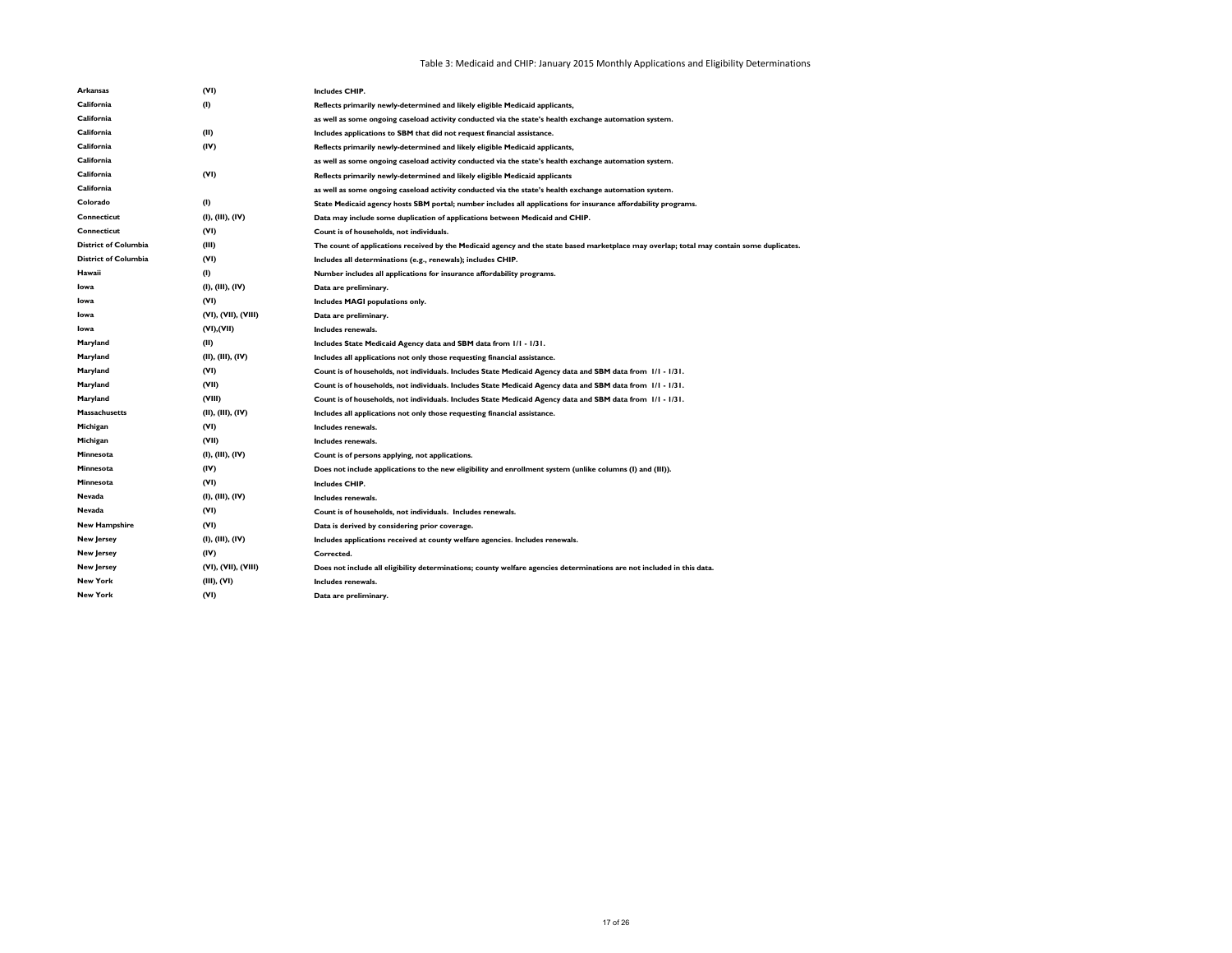| Arkansas                    | (VI)                | <b>Includes CHIP.</b>                                                                                                                     |
|-----------------------------|---------------------|-------------------------------------------------------------------------------------------------------------------------------------------|
| California                  | (1)                 | Reflects primarily newly-determined and likely eligible Medicaid applicants,                                                              |
| California                  |                     | as well as some ongoing caseload activity conducted via the state's health exchange automation system.                                    |
| California                  | (II)                | Includes applications to SBM that did not request financial assistance.                                                                   |
| California                  | (IV)                | Reflects primarily newly-determined and likely eligible Medicaid applicants,                                                              |
| California                  |                     | as well as some ongoing caseload activity conducted via the state's health exchange automation system.                                    |
| California                  | (VI)                | Reflects primarily newly-determined and likely eligible Medicaid applicants                                                               |
| California                  |                     | as well as some ongoing caseload activity conducted via the state's health exchange automation system.                                    |
| Colorado                    | (1)                 | State Medicaid agency hosts SBM portal; number includes all applications for insurance affordability programs.                            |
| <b>Connecticut</b>          | (I), (III), (IV)    | Data may include some duplication of applications between Medicaid and CHIP.                                                              |
| <b>Connecticut</b>          | (VI)                | Count is of households, not individuals.                                                                                                  |
| <b>District of Columbia</b> | (III)               | The count of applications received by the Medicaid agency and the state based marketplace may overlap; total may contain some duplicates. |
| <b>District of Columbia</b> | (VI)                | Includes all determinations (e.g., renewals); includes CHIP.                                                                              |
| Hawaii                      | (1)                 | Number includes all applications for insurance affordability programs.                                                                    |
| Iowa                        | (I), (III), (IV)    | Data are preliminary.                                                                                                                     |
| Iowa                        | (VI)                | Includes MAGI populations only.                                                                                                           |
| Iowa                        | (VI), (VII), (VIII) | Data are preliminary.                                                                                                                     |
| Iowa                        | (VI), (VII)         | Includes renewals.                                                                                                                        |
| Maryland                    | (II)                | Includes State Medicaid Agency data and SBM data from 1/1 - 1/31.                                                                         |
| Maryland                    | (II), (III), (IV)   | Includes all applications not only those requesting financial assistance.                                                                 |
| Maryland                    | (VI)                | Count is of households, not individuals. Includes State Medicaid Agency data and SBM data from 1/1 - 1/31.                                |
| Maryland                    | (VII)               | Count is of households, not individuals. Includes State Medicaid Agency data and SBM data from 1/1 - 1/31.                                |
| Maryland                    | (VIII)              | Count is of households, not individuals. Includes State Medicaid Agency data and SBM data from 1/1 - 1/31.                                |
| <b>Massachusetts</b>        | (II), (III), (IV)   | Includes all applications not only those requesting financial assistance.                                                                 |
| Michigan                    | (VI)                | Includes renewals.                                                                                                                        |
| Michigan                    | (VII)               | Includes renewals.                                                                                                                        |
| Minnesota                   | (I), (III), (IV)    | Count is of persons applying, not applications.                                                                                           |
| Minnesota                   | (IV)                | Does not include applications to the new eligibility and enrollment system (unlike columns (I) and (III)).                                |
| Minnesota                   | (VI)                | <b>Includes CHIP.</b>                                                                                                                     |
| Nevada                      | (I), (III), (IV)    | Includes renewals.                                                                                                                        |
| Nevada                      | (VI)                | Count is of households, not individuals. Includes renewals.                                                                               |
| <b>New Hampshire</b>        | (VI)                | Data is derived by considering prior coverage.                                                                                            |
| <b>New Jersey</b>           | (I), (III), (IV)    | Includes applications received at county welfare agencies. Includes renewals.                                                             |
| <b>New Jersey</b>           | (IV)                | Corrected.                                                                                                                                |
| <b>New Jersey</b>           | (VI), (VII), (VIII) | Does not include all eligibility determinations; county welfare agencies determinations are not included in this data.                    |
| <b>New York</b>             | (III), (VI)         | Includes renewals.                                                                                                                        |
| <b>New York</b>             | (VI)                | Data are preliminary.                                                                                                                     |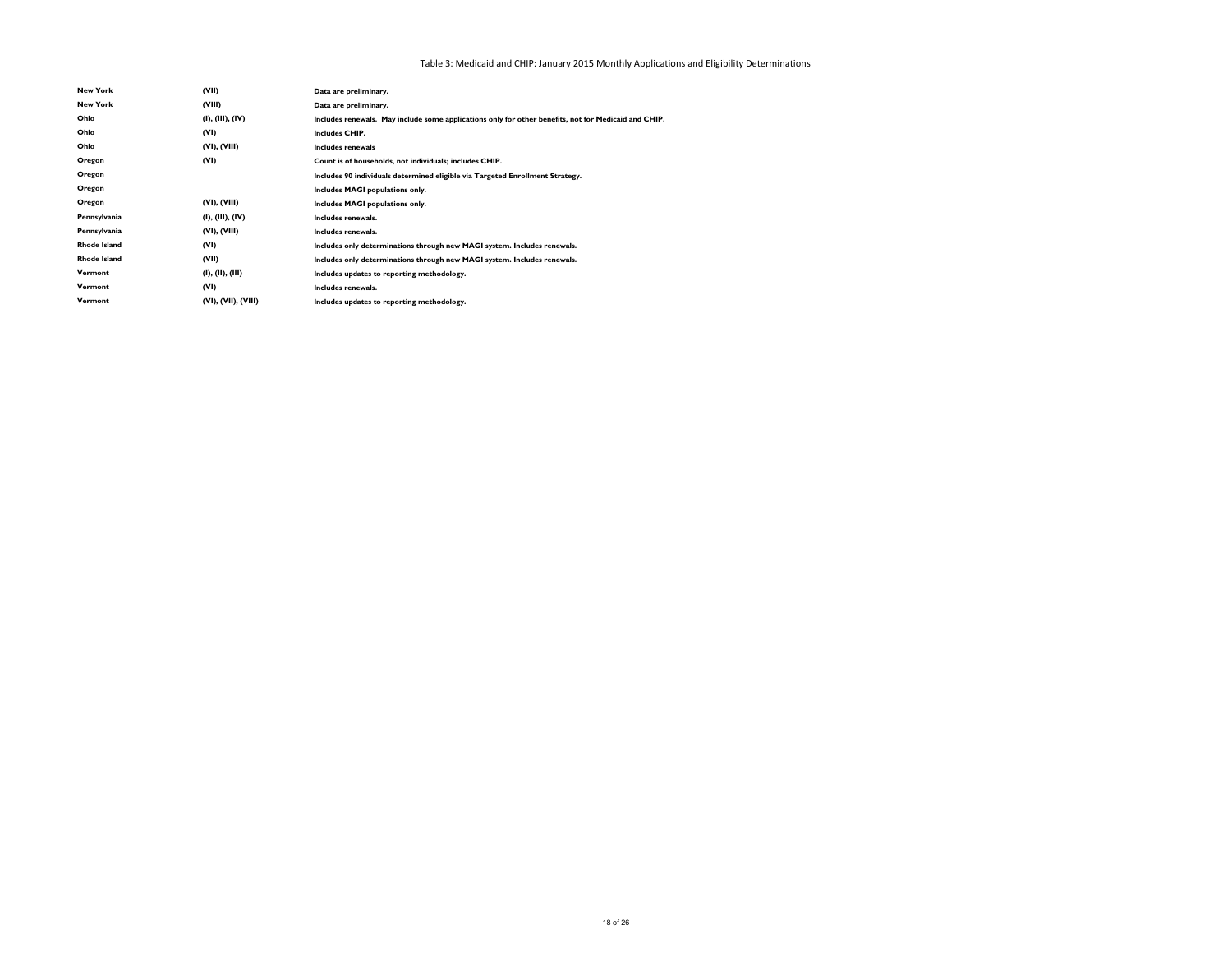Table 3: Medicaid and CHIP: January 2015 Monthly Applications and Eligibility Determinations

| <b>New York</b>     | (VII)               | Data are preliminary.                                                                                |
|---------------------|---------------------|------------------------------------------------------------------------------------------------------|
| <b>New York</b>     | (VIII)              | Data are preliminary.                                                                                |
| Ohio                | (I), (III), (IV)    | Includes renewals. May include some applications only for other benefits, not for Medicaid and CHIP. |
| Ohio                | (VI)                | <b>Includes CHIP.</b>                                                                                |
| Ohio                | (VI), (VIII)        | Includes renewals                                                                                    |
| Oregon              | (VI)                | Count is of households, not individuals; includes CHIP.                                              |
| Oregon              |                     | Includes 90 individuals determined eligible via Targeted Enrollment Strategy.                        |
| Oregon              |                     | Includes MAGI populations only.                                                                      |
| Oregon              | (VI), (VIII)        | Includes MAGI populations only.                                                                      |
| Pennsylvania        | (I), (III), (IV)    | Includes renewals.                                                                                   |
| Pennsylvania        | (VI), (VIII)        | Includes renewals.                                                                                   |
| <b>Rhode Island</b> | (VI)                | Includes only determinations through new MAGI system. Includes renewals.                             |
| <b>Rhode Island</b> | (VII)               | Includes only determinations through new MAGI system. Includes renewals.                             |
| Vermont             | (I), (II), (III)    | Includes updates to reporting methodology.                                                           |
| Vermont             | (VI)                | Includes renewals.                                                                                   |
| Vermont             | (VI), (VII), (VIII) | Includes updates to reporting methodology.                                                           |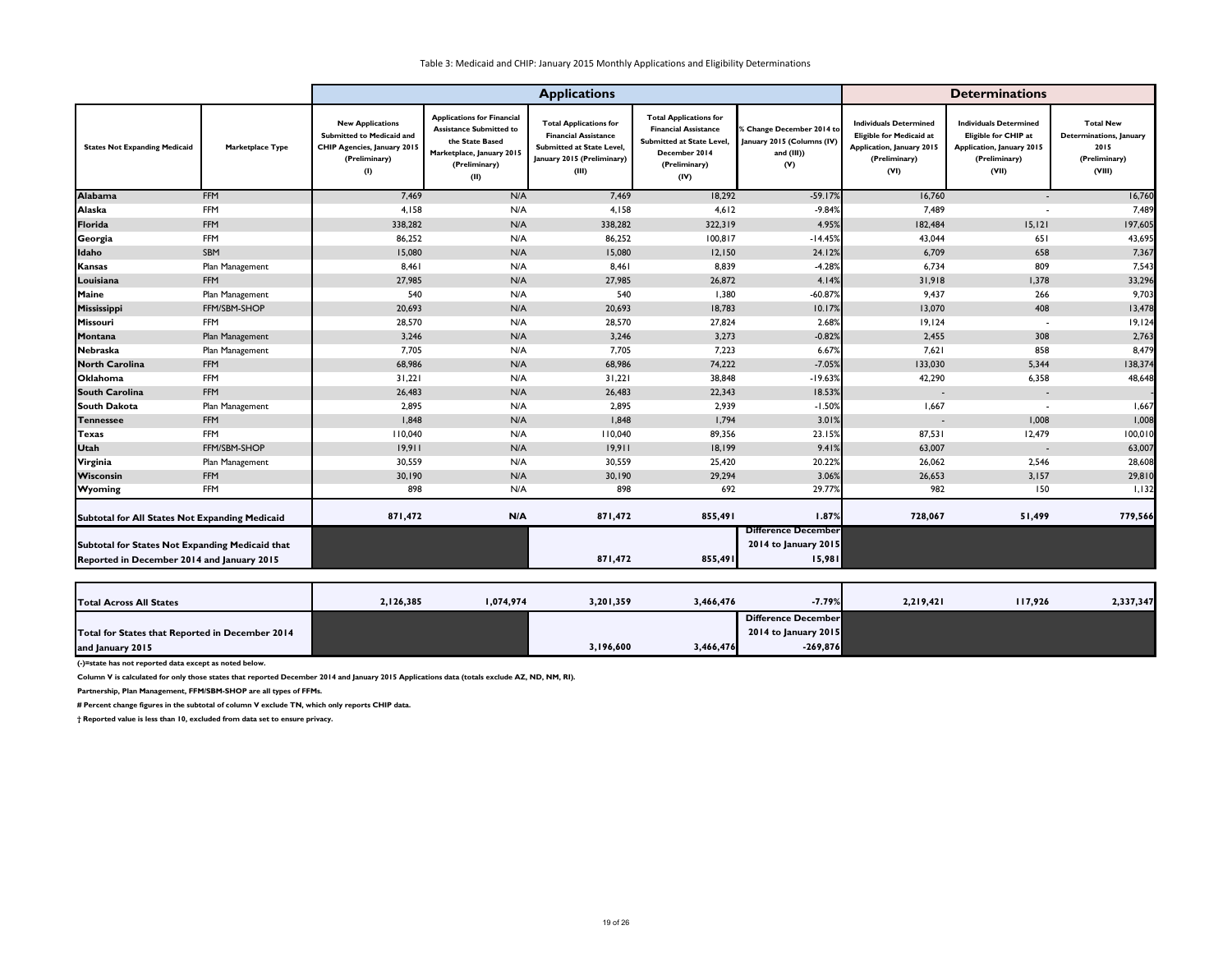|                                                                                               | <b>Applications</b>     |                                                                                                                           |                                                                                                                                              |                                                                                                                                  | <b>Determinations</b>                                                                                                                     |                                                                                        |                                                                                                                               |                                                                                                                            |                                                                                |
|-----------------------------------------------------------------------------------------------|-------------------------|---------------------------------------------------------------------------------------------------------------------------|----------------------------------------------------------------------------------------------------------------------------------------------|----------------------------------------------------------------------------------------------------------------------------------|-------------------------------------------------------------------------------------------------------------------------------------------|----------------------------------------------------------------------------------------|-------------------------------------------------------------------------------------------------------------------------------|----------------------------------------------------------------------------------------------------------------------------|--------------------------------------------------------------------------------|
| <b>States Not Expanding Medicaid</b>                                                          | <b>Marketplace Type</b> | <b>New Applications</b><br><b>Submitted to Medicaid and</b><br><b>CHIP Agencies, January 2015</b><br>(Preliminary)<br>(1) | <b>Applications for Financial</b><br><b>Assistance Submitted to</b><br>the State Based<br>Marketplace, January 2015<br>(Preliminary)<br>(II) | <b>Total Applications for</b><br><b>Financial Assistance</b><br>Submitted at State Level,<br>January 2015 (Preliminary)<br>(III) | <b>Total Applications for</b><br><b>Financial Assistance</b><br><b>Submitted at State Level</b><br>December 2014<br>(Preliminary)<br>(IV) | <b>6 Change December 2014 to</b><br>January 2015 (Columns (IV)<br>and $(III)$ )<br>(V) | <b>Individuals Determined</b><br><b>Eligible for Medicaid at</b><br><b>Application, January 2015</b><br>(Preliminary)<br>(VI) | <b>Individuals Determined</b><br><b>Eligible for CHIP at</b><br><b>Application, January 2015</b><br>(Preliminary)<br>(VII) | <b>Total New</b><br>Determinations, January<br>2015<br>(Preliminary)<br>(VIII) |
| <b>Alabama</b>                                                                                | <b>FFM</b>              | 7,469                                                                                                                     | N/A                                                                                                                                          | 7,469                                                                                                                            | 18,292                                                                                                                                    | $-59.17%$                                                                              | 16,760                                                                                                                        |                                                                                                                            | 16,760                                                                         |
| <b>Alaska</b>                                                                                 | FFM                     | 4,158                                                                                                                     | N/A                                                                                                                                          | 4,158                                                                                                                            | 4,612                                                                                                                                     | $-9.84%$                                                                               | 7,489                                                                                                                         |                                                                                                                            | 7,489                                                                          |
| Florida                                                                                       | <b>FFM</b>              | 338,282                                                                                                                   | N/A                                                                                                                                          | 338,282                                                                                                                          | 322,319                                                                                                                                   | 4.95%                                                                                  | 182,484                                                                                                                       | 15, 121                                                                                                                    | 197,605                                                                        |
| Georgia                                                                                       | FFM                     | 86,252                                                                                                                    | N/A                                                                                                                                          | 86,252                                                                                                                           | 100, 817                                                                                                                                  | $-14.45%$                                                                              | 43,044                                                                                                                        | 651                                                                                                                        | 43,695                                                                         |
| Idaho                                                                                         | SBM                     | 15,080                                                                                                                    | N/A                                                                                                                                          | 15,080                                                                                                                           | 12,150                                                                                                                                    | 24.12%                                                                                 | 6,709                                                                                                                         | 658                                                                                                                        | 7,367                                                                          |
| Kansas                                                                                        | Plan Management         | 8,461                                                                                                                     | N/A                                                                                                                                          | 8,461                                                                                                                            | 8,839                                                                                                                                     | $-4.28%$                                                                               | 6,734                                                                                                                         | 809                                                                                                                        | 7,543                                                                          |
| Louisiana                                                                                     | <b>FFM</b>              | 27,985                                                                                                                    | N/A                                                                                                                                          | 27,985                                                                                                                           | 26,872                                                                                                                                    | 4.14%                                                                                  | 31,918                                                                                                                        | 1,378                                                                                                                      | 33,296                                                                         |
| Maine                                                                                         | Plan Management         | 540                                                                                                                       | N/A                                                                                                                                          | 540                                                                                                                              | 1,380                                                                                                                                     | $-60.87%$                                                                              | 9,437                                                                                                                         | 266                                                                                                                        | 9,703                                                                          |
| Mississippi                                                                                   | FFM/SBM-SHOP            | 20,693                                                                                                                    | N/A                                                                                                                                          | 20,693                                                                                                                           | 18,783                                                                                                                                    | 10.17%                                                                                 | 13,070                                                                                                                        | 408                                                                                                                        | 13,478                                                                         |
| Missouri                                                                                      | <b>FFM</b>              | 28,570                                                                                                                    | N/A                                                                                                                                          | 28,570                                                                                                                           | 27,824                                                                                                                                    | 2.68%                                                                                  | 19,124                                                                                                                        | $\overline{\phantom{a}}$                                                                                                   | 19,124                                                                         |
| Montana                                                                                       | Plan Management         | 3,246                                                                                                                     | N/A                                                                                                                                          | 3,246                                                                                                                            | 3,273                                                                                                                                     | $-0.82%$                                                                               | 2,455                                                                                                                         | 308                                                                                                                        | 2,763                                                                          |
| Nebraska                                                                                      | Plan Management         | 7,705                                                                                                                     | N/A                                                                                                                                          | 7,705                                                                                                                            | 7,223                                                                                                                                     | 6.67%                                                                                  | 7,621                                                                                                                         | 858                                                                                                                        | 8,479                                                                          |
| <b>North Carolina</b>                                                                         | <b>FFM</b>              | 68,986                                                                                                                    | N/A                                                                                                                                          | 68,986                                                                                                                           | 74,222                                                                                                                                    | $-7.05%$                                                                               | 133,030                                                                                                                       | 5,344                                                                                                                      | 138,374                                                                        |
| <b>Oklahoma</b>                                                                               | FFM                     | 31,221                                                                                                                    | N/A                                                                                                                                          | 31,221                                                                                                                           | 38,848                                                                                                                                    | $-19.63%$                                                                              | 42,290                                                                                                                        | 6,358                                                                                                                      | 48,648                                                                         |
| <b>South Carolina</b>                                                                         | <b>FFM</b>              | 26,483                                                                                                                    | N/A                                                                                                                                          | 26,483                                                                                                                           | 22,343                                                                                                                                    | 18.53%                                                                                 | $\sim$                                                                                                                        | $\sim$                                                                                                                     |                                                                                |
| <b>South Dakota</b>                                                                           | Plan Management         | 2,895                                                                                                                     | N/A                                                                                                                                          | 2,895                                                                                                                            | 2,939                                                                                                                                     | $-1.50%$                                                                               | 1,667                                                                                                                         |                                                                                                                            | 1,667                                                                          |
| <b>Tennessee</b>                                                                              | <b>FFM</b>              | 1,848                                                                                                                     | N/A                                                                                                                                          | 1,848                                                                                                                            | 1,794                                                                                                                                     | 3.01%                                                                                  |                                                                                                                               | 1,008                                                                                                                      | 1,008                                                                          |
| <b>Texas</b>                                                                                  | FFM                     | 110,040                                                                                                                   | N/A                                                                                                                                          | 110,040                                                                                                                          | 89,356                                                                                                                                    | 23.15%                                                                                 | 87,531                                                                                                                        | 12,479                                                                                                                     | 100,010                                                                        |
| <b>Utah</b>                                                                                   | FFM/SBM-SHOP            | 19,911                                                                                                                    | N/A                                                                                                                                          | 19,911                                                                                                                           | 18,199                                                                                                                                    | 9.41%                                                                                  | 63,007                                                                                                                        | $\overline{\phantom{a}}$                                                                                                   | 63,007                                                                         |
| Virginia                                                                                      | Plan Management         | 30,559                                                                                                                    | N/A                                                                                                                                          | 30,559                                                                                                                           | 25,420                                                                                                                                    | 20.22%                                                                                 | 26,062                                                                                                                        | 2,546                                                                                                                      | 28,608                                                                         |
| Wisconsin                                                                                     | <b>FFM</b>              | 30,190                                                                                                                    | N/A                                                                                                                                          | 30,190                                                                                                                           | 29,294                                                                                                                                    | 3.06%                                                                                  | 26,653                                                                                                                        | 3,157                                                                                                                      | 29,810                                                                         |
| <b>Wyoming</b>                                                                                | <b>FFM</b>              | 898                                                                                                                       | N/A                                                                                                                                          | 898                                                                                                                              | 692                                                                                                                                       | 29.77%                                                                                 | 982                                                                                                                           | 150                                                                                                                        | 1,132                                                                          |
| Subtotal for All States Not Expanding Medicaid                                                |                         | 871,472                                                                                                                   | N/A                                                                                                                                          | 871,472                                                                                                                          | 855,491                                                                                                                                   | 1.87%                                                                                  | 728,067                                                                                                                       | 51,499                                                                                                                     | 779,566                                                                        |
|                                                                                               |                         |                                                                                                                           |                                                                                                                                              |                                                                                                                                  |                                                                                                                                           | <b>Difference December</b>                                                             |                                                                                                                               |                                                                                                                            |                                                                                |
| Subtotal for States Not Expanding Medicaid that<br>Reported in December 2014 and January 2015 |                         |                                                                                                                           |                                                                                                                                              | 871,472                                                                                                                          | 855,491                                                                                                                                   | 2014 to January 2015<br>15,981                                                         |                                                                                                                               |                                                                                                                            |                                                                                |
|                                                                                               |                         |                                                                                                                           |                                                                                                                                              |                                                                                                                                  |                                                                                                                                           |                                                                                        |                                                                                                                               |                                                                                                                            |                                                                                |

**(-)=state has not reported data except as noted below.**

**Column V is calculated for only those states that reported December 2014 and January 2015 Applications data (totals exclude AZ, ND, NM, RI).**

**Partnership, Plan Management, FFM/SBM-SHOP are all types of FFMs.**

| <b>Total Across All States</b>                  | 2,126,385 | 1,074,974 | 3,201,359 | 3,466,476 | $-7.79%$             | 2,219,421 | 117,926 | 2,337,347 |
|-------------------------------------------------|-----------|-----------|-----------|-----------|----------------------|-----------|---------|-----------|
|                                                 |           |           |           |           | Difference December  |           |         |           |
| Total for States that Reported in December 2014 |           |           |           |           | 2014 to January 2015 |           |         |           |
| and January 2015                                |           |           | 3,196,600 | 3,466,476 | $-269,876$           |           |         |           |

**# Percent change figures in the subtotal of column V exclude TN, which only reports CHIP data.**

**† Reported value is less than 10, excluded from data set to ensure privacy.**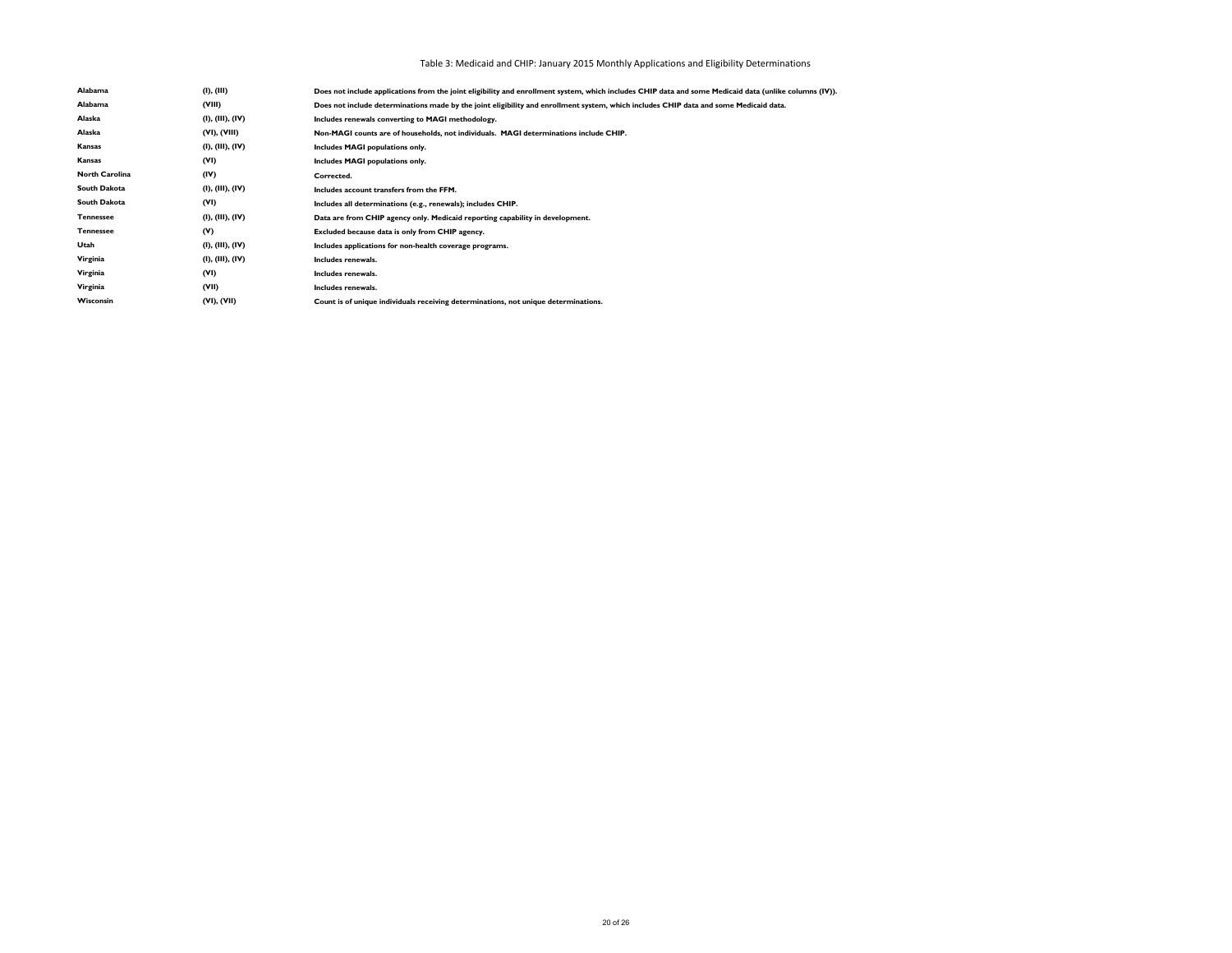# Table 3: Medicaid and CHIP: January 2015 Monthly Applications and Eligibility Determinations

| Alabama               | (I), (III)       | Does not include applications from the joint eligibility and enrollment system, which includes CHIP data and some Medicaid data (unlike columns (IV)). |
|-----------------------|------------------|--------------------------------------------------------------------------------------------------------------------------------------------------------|
| Alabama               | (VIII)           | Does not include determinations made by the joint eligibility and enrollment system, which includes CHIP data and some Medicaid data.                  |
| Alaska                | (I), (III), (IV) | Includes renewals converting to MAGI methodology.                                                                                                      |
| Alaska                | (VI), (VIII)     | Non-MAGI counts are of households, not individuals. MAGI determinations include CHIP.                                                                  |
| Kansas                | (I), (III), (IV) | Includes MAGI populations only.                                                                                                                        |
| <b>Kansas</b>         | (VI)             | Includes MAGI populations only.                                                                                                                        |
| <b>North Carolina</b> | (IV)             | Corrected.                                                                                                                                             |
| South Dakota          | (I), (III), (IV) | Includes account transfers from the FFM.                                                                                                               |
| South Dakota          | (VI)             | Includes all determinations (e.g., renewals); includes CHIP.                                                                                           |
| <b>Tennessee</b>      | (I), (III), (IV) | Data are from CHIP agency only. Medicaid reporting capability in development.                                                                          |
| <b>Tennessee</b>      | (V)              | Excluded because data is only from CHIP agency.                                                                                                        |
| Utah                  | (I), (III), (IV) | Includes applications for non-health coverage programs.                                                                                                |
| Virginia              | (I), (III), (IV) | Includes renewals.                                                                                                                                     |
| Virginia              | (VI)             | Includes renewals.                                                                                                                                     |
| Virginia              | (VII)            | Includes renewals.                                                                                                                                     |
| Wisconsin             | (VI), (VII)      | Count is of unique individuals receiving determinations, not unique determinations.                                                                    |
|                       |                  |                                                                                                                                                        |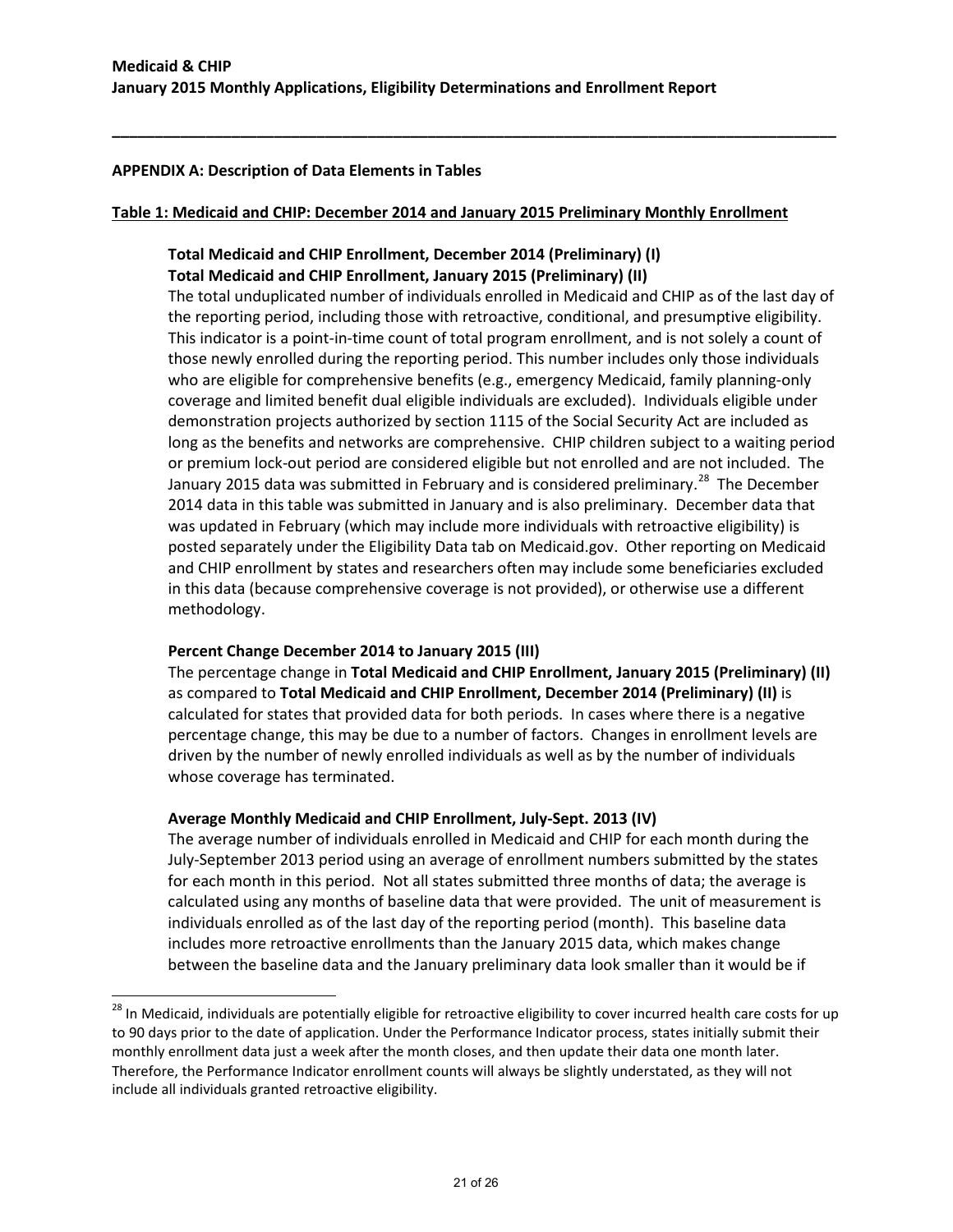#### **APPENDIX A: Description of Data Elements in Tables**

#### **Table 1: Medicaid and CHIP: December 2014 and January 2015 Preliminary Monthly Enrollment**

**\_\_\_\_\_\_\_\_\_\_\_\_\_\_\_\_\_\_\_\_\_\_\_\_\_\_\_\_\_\_\_\_\_\_\_\_\_\_\_\_\_\_\_\_\_\_\_\_\_\_\_\_\_\_\_\_\_\_\_\_\_\_\_\_\_\_\_\_\_\_\_\_\_\_\_\_\_\_\_\_\_\_\_\_\_**

# **Total Medicaid and CHIP Enrollment, December 2014 (Preliminary) (I) Total Medicaid and CHIP Enrollment, January 2015 (Preliminary) (II)**

The total unduplicated number of individuals enrolled in Medicaid and CHIP as of the last day of the reporting period, including those with retroactive, conditional, and presumptive eligibility. This indicator is a point-in-time count of total program enrollment, and is not solely a count of those newly enrolled during the reporting period. This number includes only those individuals who are eligible for comprehensive benefits (e.g., emergency Medicaid, family planning-only coverage and limited benefit dual eligible individuals are excluded). Individuals eligible under demonstration projects authorized by section 1115 of the Social Security Act are included as long as the benefits and networks are comprehensive. CHIP children subject to a waiting period or premium lock-out period are considered eligible but not enrolled and are not included. The January 2015 data was submitted in February and is considered preliminary.<sup>28</sup> The December 2014 data in this table was submitted in January and is also preliminary. December data that was updated in February (which may include more individuals with retroactive eligibility) is posted separately under the Eligibility Data tab on Medicaid.gov. Other reporting on Medicaid and CHIP enrollment by states and researchers often may include some beneficiaries excluded in this data (because comprehensive coverage is not provided), or otherwise use a different methodology.

# **Percent Change December 2014 to January 2015 (III)**

l

The percentage change in **Total Medicaid and CHIP Enrollment, January 2015 (Preliminary) (II)**  as compared to **Total Medicaid and CHIP Enrollment, December 2014 (Preliminary) (II)** is calculated for states that provided data for both periods. In cases where there is a negative percentage change, this may be due to a number of factors. Changes in enrollment levels are driven by the number of newly enrolled individuals as well as by the number of individuals whose coverage has terminated.

# **Average Monthly Medicaid and CHIP Enrollment, July-Sept. 2013 (IV)**

The average number of individuals enrolled in Medicaid and CHIP for each month during the July-September 2013 period using an average of enrollment numbers submitted by the states for each month in this period. Not all states submitted three months of data; the average is calculated using any months of baseline data that were provided. The unit of measurement is individuals enrolled as of the last day of the reporting period (month). This baseline data includes more retroactive enrollments than the January 2015 data, which makes change between the baseline data and the January preliminary data look smaller than it would be if

<span id="page-20-0"></span><sup>&</sup>lt;sup>28</sup> In Medicaid, individuals are potentially eligible for retroactive eligibility to cover incurred health care costs for up to 90 days prior to the date of application. Under the Performance Indicator process, states initially submit their monthly enrollment data just a week after the month closes, and then update their data one month later. Therefore, the Performance Indicator enrollment counts will always be slightly understated, as they will not include all individuals granted retroactive eligibility.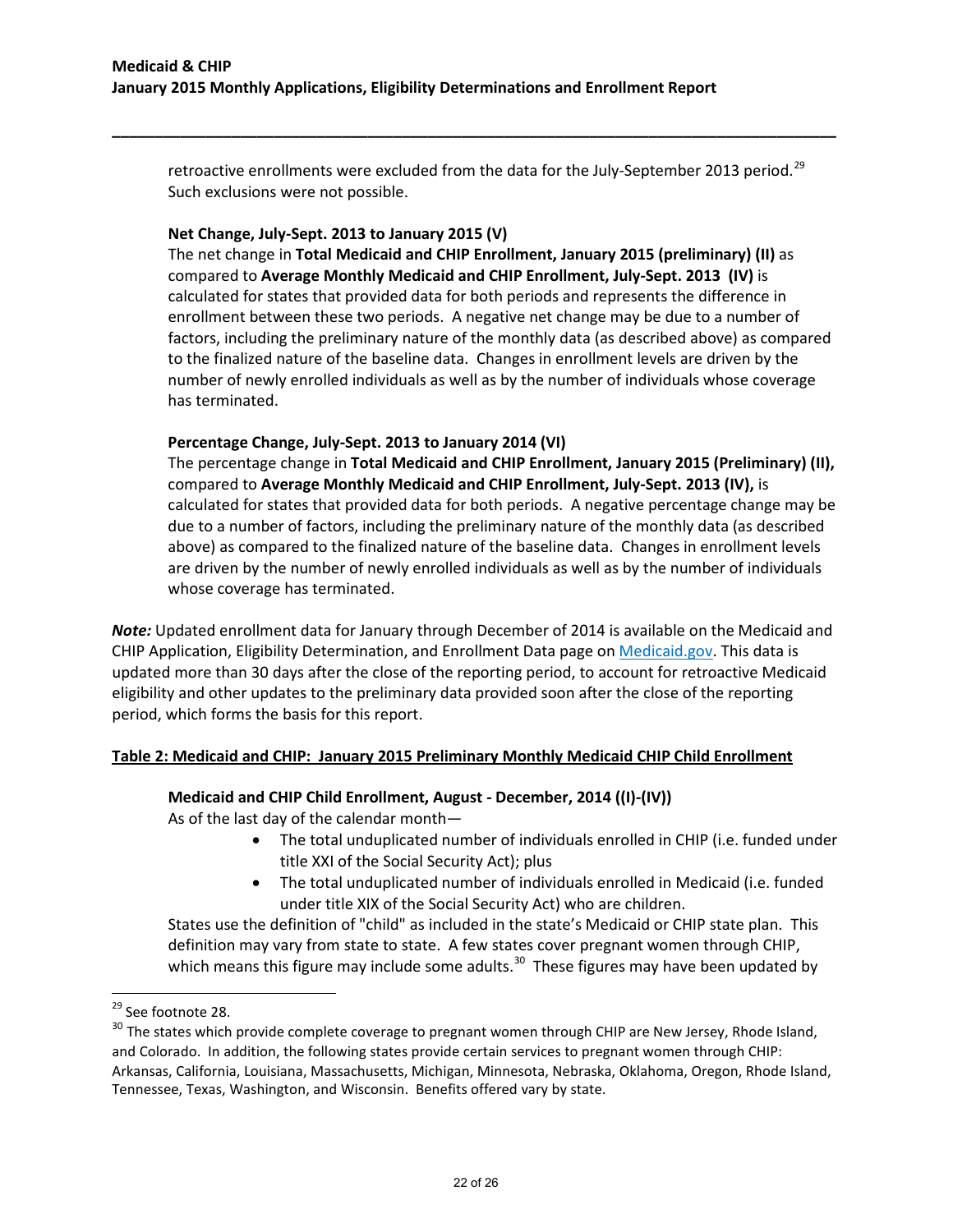retroactive enrollments were excluded from the data for the July-September 2013 period.<sup>[29](#page-21-0)</sup> Such exclusions were not possible.

**\_\_\_\_\_\_\_\_\_\_\_\_\_\_\_\_\_\_\_\_\_\_\_\_\_\_\_\_\_\_\_\_\_\_\_\_\_\_\_\_\_\_\_\_\_\_\_\_\_\_\_\_\_\_\_\_\_\_\_\_\_\_\_\_\_\_\_\_\_\_\_\_\_\_\_\_\_\_\_\_\_\_\_\_\_**

#### **Net Change, July-Sept. 2013 to January 2015 (V)**

The net change in **Total Medicaid and CHIP Enrollment, January 2015 (preliminary) (II)** as compared to **Average Monthly Medicaid and CHIP Enrollment, July-Sept. 2013 (IV)** is calculated for states that provided data for both periods and represents the difference in enrollment between these two periods. A negative net change may be due to a number of factors, including the preliminary nature of the monthly data (as described above) as compared to the finalized nature of the baseline data. Changes in enrollment levels are driven by the number of newly enrolled individuals as well as by the number of individuals whose coverage has terminated.

#### **Percentage Change, July-Sept. 2013 to January 2014 (VI)**

The percentage change in **Total Medicaid and CHIP Enrollment, January 2015 (Preliminary) (II),**  compared to **Average Monthly Medicaid and CHIP Enrollment, July-Sept. 2013 (IV),** is calculated for states that provided data for both periods. A negative percentage change may be due to a number of factors, including the preliminary nature of the monthly data (as described above) as compared to the finalized nature of the baseline data. Changes in enrollment levels are driven by the number of newly enrolled individuals as well as by the number of individuals whose coverage has terminated.

*Note:* Updated enrollment data for January through December of 2014 is available on the Medicaid and CHIP Application, Eligibility Determination, and Enrollment Data page on [Medicaid.gov.](http://www.medicaid.gov/medicaid-chip-program-information/program-information/medicaid-and-chip-enrollment-data/medicaid-and-chip-application-eligibility-determination-and-enrollment-data.html) This data is updated more than 30 days after the close of the reporting period, to account for retroactive Medicaid eligibility and other updates to the preliminary data provided soon after the close of the reporting period, which forms the basis for this report.

# **Table 2: Medicaid and CHIP: January 2015 Preliminary Monthly Medicaid CHIP Child Enrollment**

# **Medicaid and CHIP Child Enrollment, August - December, 2014 ((I)-(IV))**

As of the last day of the calendar month—

- The total unduplicated number of individuals enrolled in CHIP (i.e. funded under title XXI of the Social Security Act); plus
- The total unduplicated number of individuals enrolled in Medicaid (i.e. funded under title XIX of the Social Security Act) who are children.

States use the definition of "child" as included in the state's Medicaid or CHIP state plan. This definition may vary from state to state. A few states cover pregnant women through CHIP, which means this figure may include some adults.<sup>[30](#page-21-1)</sup> These figures may have been updated by

<span id="page-21-0"></span><sup>&</sup>lt;sup>29</sup> See footnote 28.

<span id="page-21-1"></span><sup>&</sup>lt;sup>30</sup> The states which provide complete coverage to pregnant women through CHIP are New Jersey, Rhode Island, and Colorado. In addition, the following states provide certain services to pregnant women through CHIP: Arkansas, California, Louisiana, Massachusetts, Michigan, Minnesota, Nebraska, Oklahoma, Oregon, Rhode Island, Tennessee, Texas, Washington, and Wisconsin. Benefits offered vary by state.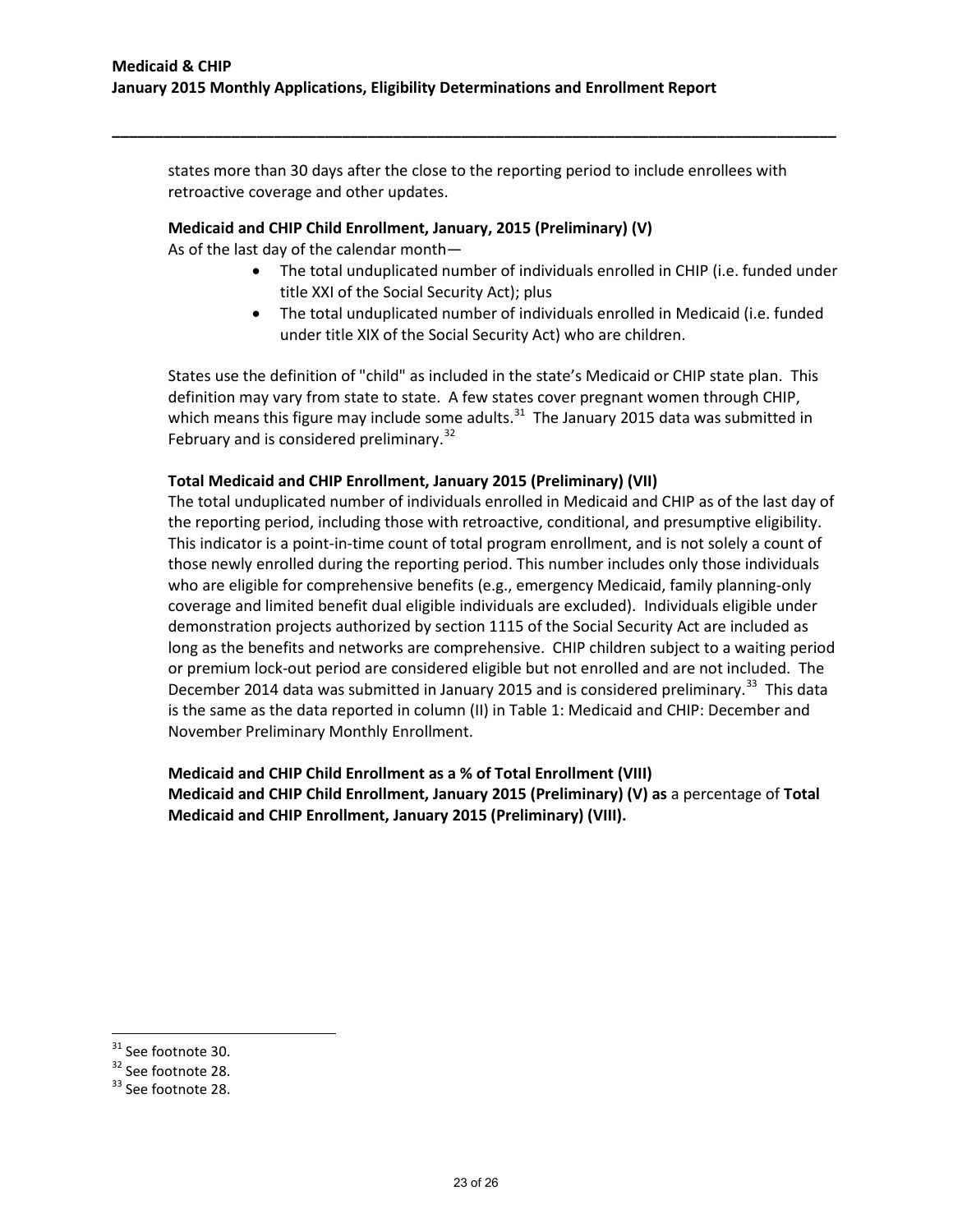states more than 30 days after the close to the reporting period to include enrollees with retroactive coverage and other updates.

**\_\_\_\_\_\_\_\_\_\_\_\_\_\_\_\_\_\_\_\_\_\_\_\_\_\_\_\_\_\_\_\_\_\_\_\_\_\_\_\_\_\_\_\_\_\_\_\_\_\_\_\_\_\_\_\_\_\_\_\_\_\_\_\_\_\_\_\_\_\_\_\_\_\_\_\_\_\_\_\_\_\_\_\_\_**

# **Medicaid and CHIP Child Enrollment, January, 2015 (Preliminary) (V)**

As of the last day of the calendar month—

- The total unduplicated number of individuals enrolled in CHIP (i.e. funded under title XXI of the Social Security Act); plus
- The total unduplicated number of individuals enrolled in Medicaid (i.e. funded under title XIX of the Social Security Act) who are children.

States use the definition of "child" as included in the state's Medicaid or CHIP state plan. This definition may vary from state to state. A few states cover pregnant women through CHIP, which means this figure may include some adults.<sup>[31](#page-22-0)</sup> The January 2015 data was submitted in February and is considered preliminary.<sup>32</sup>

# **Total Medicaid and CHIP Enrollment, January 2015 (Preliminary) (VII)**

The total unduplicated number of individuals enrolled in Medicaid and CHIP as of the last day of the reporting period, including those with retroactive, conditional, and presumptive eligibility. This indicator is a point-in-time count of total program enrollment, and is not solely a count of those newly enrolled during the reporting period. This number includes only those individuals who are eligible for comprehensive benefits (e.g., emergency Medicaid, family planning-only coverage and limited benefit dual eligible individuals are excluded). Individuals eligible under demonstration projects authorized by section 1115 of the Social Security Act are included as long as the benefits and networks are comprehensive. CHIP children subject to a waiting period or premium lock-out period are considered eligible but not enrolled and are not included. The December 2014 data was submitted in January 2015 and is considered preliminary.<sup>33</sup> This data is the same as the data reported in column (II) in Table 1: Medicaid and CHIP: December and November Preliminary Monthly Enrollment.

**Medicaid and CHIP Child Enrollment as a % of Total Enrollment (VIII) Medicaid and CHIP Child Enrollment, January 2015 (Preliminary) (V) as** a percentage of **Total Medicaid and CHIP Enrollment, January 2015 (Preliminary) (VIII).** 

<span id="page-22-0"></span> $31$  See footnote 30.

<span id="page-22-1"></span> $32$  See footnote 28.<br> $33$  See footnote 28.

<span id="page-22-2"></span>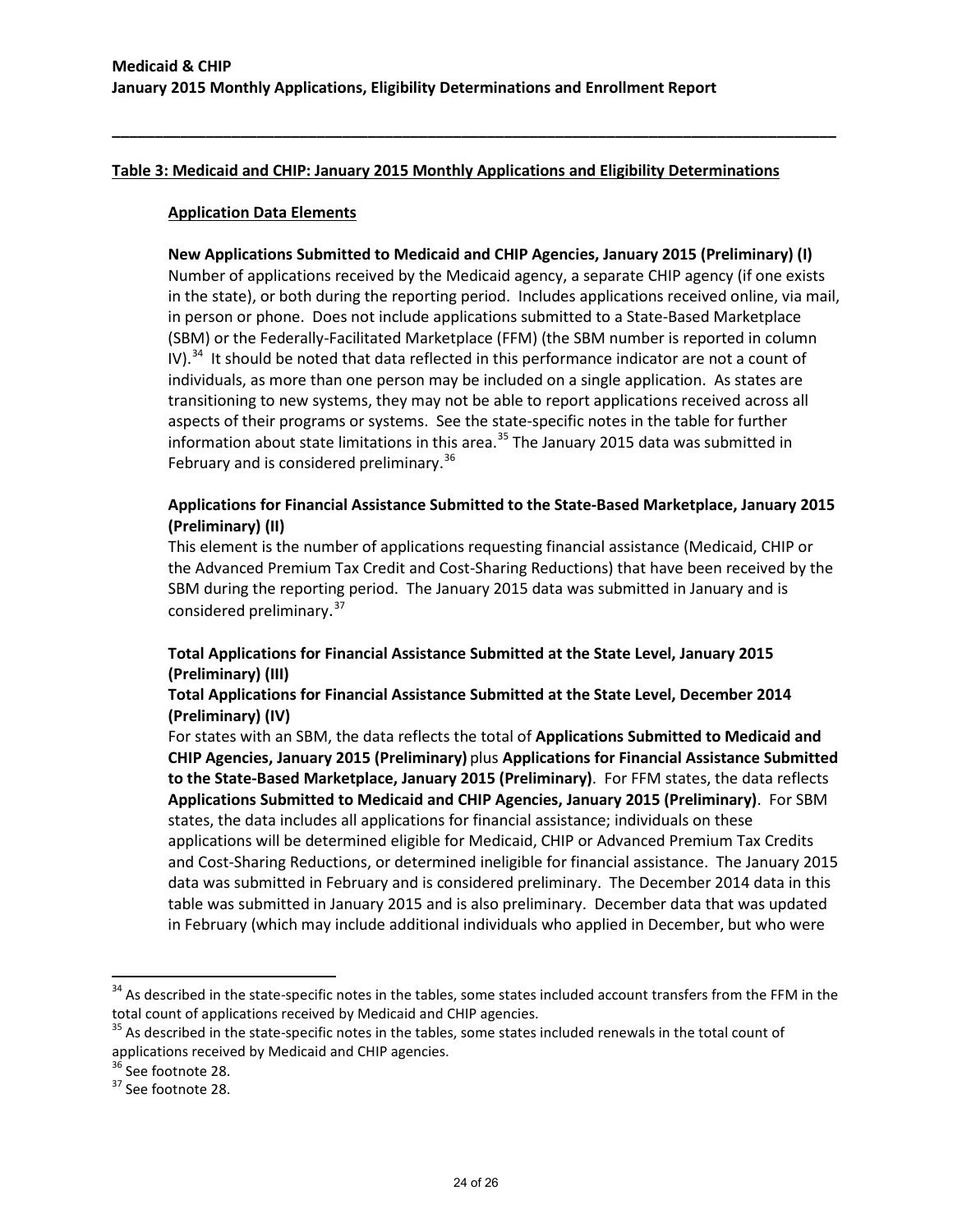# **Table 3: Medicaid and CHIP: January 2015 Monthly Applications and Eligibility Determinations**

**\_\_\_\_\_\_\_\_\_\_\_\_\_\_\_\_\_\_\_\_\_\_\_\_\_\_\_\_\_\_\_\_\_\_\_\_\_\_\_\_\_\_\_\_\_\_\_\_\_\_\_\_\_\_\_\_\_\_\_\_\_\_\_\_\_\_\_\_\_\_\_\_\_\_\_\_\_\_\_\_\_\_\_\_\_**

#### **Application Data Elements**

**New Applications Submitted to Medicaid and CHIP Agencies, January 2015 (Preliminary) (I)** Number of applications received by the Medicaid agency, a separate CHIP agency (if one exists in the state), or both during the reporting period. Includes applications received online, via mail, in person or phone. Does not include applications submitted to a State-Based Marketplace (SBM) or the Federally-Facilitated Marketplace (FFM) (the SBM number is reported in column IV). $34$  It should be noted that data reflected in this performance indicator are not a count of individuals, as more than one person may be included on a single application. As states are transitioning to new systems, they may not be able to report applications received across all aspects of their programs or systems. See the state-specific notes in the table for further information about state limitations in this area.<sup>[35](#page-23-1)</sup> The January 2015 data was submitted in February and is considered preliminary.<sup>36</sup>

# **Applications for Financial Assistance Submitted to the State-Based Marketplace, January 2015 (Preliminary) (II)**

This element is the number of applications requesting financial assistance (Medicaid, CHIP or the Advanced Premium Tax Credit and Cost-Sharing Reductions) that have been received by the SBM during the reporting period. The January 2015 data was submitted in January and is considered preliminary.<sup>[37](#page-23-3)</sup>

# **Total Applications for Financial Assistance Submitted at the State Level, January 2015 (Preliminary) (III)**

# **Total Applications for Financial Assistance Submitted at the State Level, December 2014 (Preliminary) (IV)**

For states with an SBM, the data reflects the total of **Applications Submitted to Medicaid and CHIP Agencies, January 2015 (Preliminary)** plus **Applications for Financial Assistance Submitted to the State-Based Marketplace, January 2015 (Preliminary)**. For FFM states, the data reflects **Applications Submitted to Medicaid and CHIP Agencies, January 2015 (Preliminary)**. For SBM states, the data includes all applications for financial assistance; individuals on these applications will be determined eligible for Medicaid, CHIP or Advanced Premium Tax Credits and Cost-Sharing Reductions, or determined ineligible for financial assistance. The January 2015 data was submitted in February and is considered preliminary. The December 2014 data in this table was submitted in January 2015 and is also preliminary. December data that was updated in February (which may include additional individuals who applied in December, but who were

<span id="page-23-0"></span> $34$  As described in the state-specific notes in the tables, some states included account transfers from the FFM in the total count of applications received by Medicaid and CHIP agencies.

<span id="page-23-1"></span><sup>&</sup>lt;sup>35</sup> As described in the state-specific notes in the tables, some states included renewals in the total count of applications received by Medicaid and CHIP agencies.

<span id="page-23-2"></span> $36$  See footnote 28.<br> $37$  See footnote 28.

<span id="page-23-3"></span>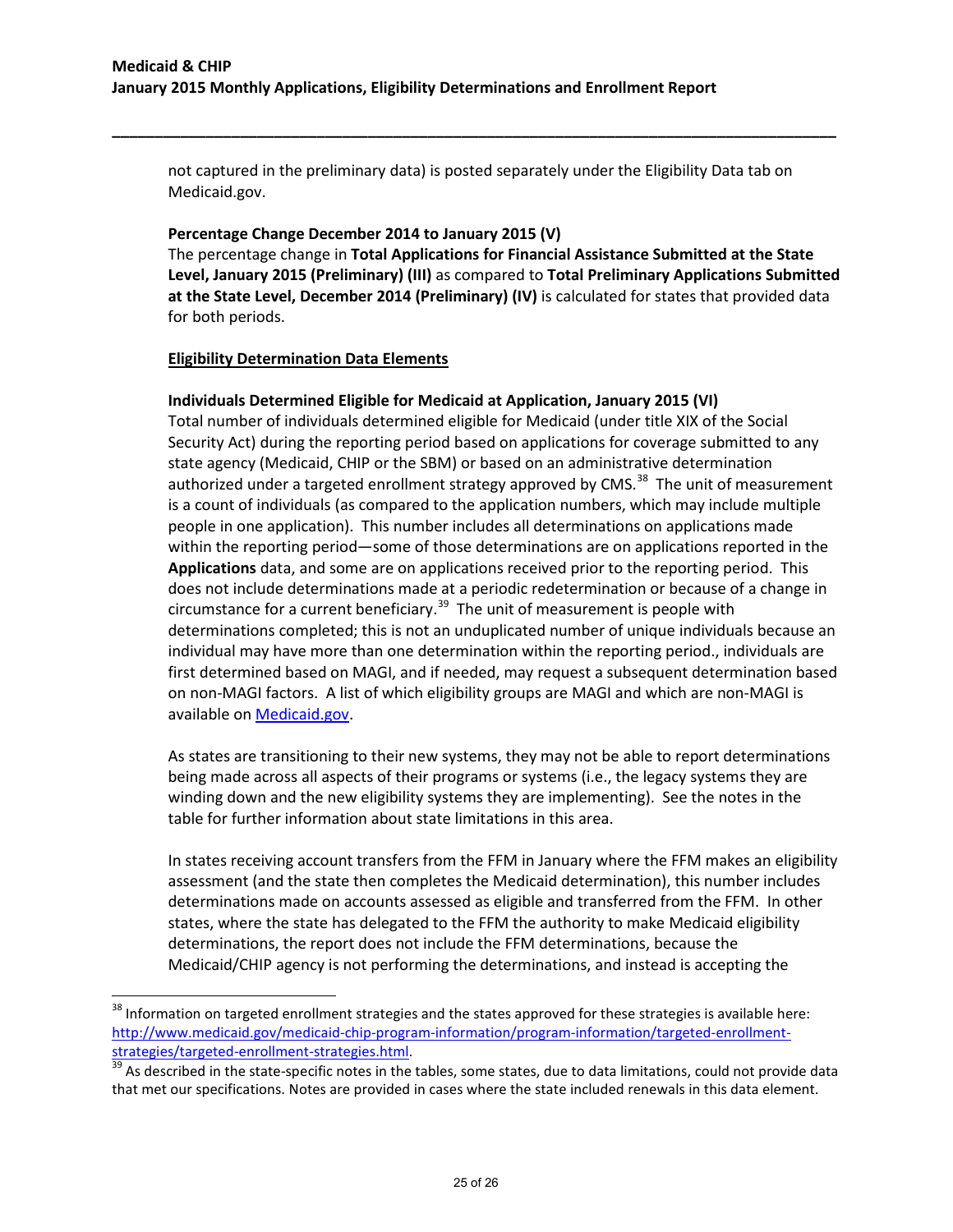not captured in the preliminary data) is posted separately under the Eligibility Data tab on Medicaid.gov.

**\_\_\_\_\_\_\_\_\_\_\_\_\_\_\_\_\_\_\_\_\_\_\_\_\_\_\_\_\_\_\_\_\_\_\_\_\_\_\_\_\_\_\_\_\_\_\_\_\_\_\_\_\_\_\_\_\_\_\_\_\_\_\_\_\_\_\_\_\_\_\_\_\_\_\_\_\_\_\_\_\_\_\_\_\_**

#### **Percentage Change December 2014 to January 2015 (V)**

The percentage change in **Total Applications for Financial Assistance Submitted at the State Level, January 2015 (Preliminary) (III)** as compared to **Total Preliminary Applications Submitted at the State Level, December 2014 (Preliminary) (IV)** is calculated for states that provided data for both periods.

#### **Eligibility Determination Data Elements**

l

# **Individuals Determined Eligible for Medicaid at Application, January 2015 (VI)**

Total number of individuals determined eligible for Medicaid (under title XIX of the Social Security Act) during the reporting period based on applications for coverage submitted to any state agency (Medicaid, CHIP or the SBM) or based on an administrative determination authorized under a targeted enrollment strategy approved by CMS.<sup>38</sup> The unit of measurement is a count of individuals (as compared to the application numbers, which may include multiple people in one application). This number includes all determinations on applications made within the reporting period—some of those determinations are on applications reported in the **Applications** data, and some are on applications received prior to the reporting period. This does not include determinations made at a periodic redetermination or because of a change in circumstance for a current beneficiary.<sup>[39](#page-24-1)</sup> The unit of measurement is people with determinations completed; this is not an unduplicated number of unique individuals because an individual may have more than one determination within the reporting period., individuals are first determined based on MAGI, and if needed, may request a subsequent determination based on non-MAGI factors. A list of which eligibility groups are MAGI and which are non-MAGI is available on [Medicaid.gov.](http://medicaid.gov/AffordableCareAct/Medicaid-Moving-Forward-2014/Downloads/Medicaid-and-CHIP-Eligibility-Groups-in-2014.pdf)

As states are transitioning to their new systems, they may not be able to report determinations being made across all aspects of their programs or systems (i.e., the legacy systems they are winding down and the new eligibility systems they are implementing). See the notes in the table for further information about state limitations in this area.

In states receiving account transfers from the FFM in January where the FFM makes an eligibility assessment (and the state then completes the Medicaid determination), this number includes determinations made on accounts assessed as eligible and transferred from the FFM. In other states, where the state has delegated to the FFM the authority to make Medicaid eligibility determinations, the report does not include the FFM determinations, because the Medicaid/CHIP agency is not performing the determinations, and instead is accepting the

<span id="page-24-0"></span> $38$  Information on targeted enrollment strategies and the states approved for these strategies is available here: [http://www.medicaid.gov/medicaid-chip-program-information/program-information/targeted-enrollment](http://www.medicaid.gov/medicaid-chip-program-information/program-information/targeted-enrollment-strategies/targeted-enrollment-strategies.html)[strategies/targeted-enrollment-strategies.html.](http://www.medicaid.gov/medicaid-chip-program-information/program-information/targeted-enrollment-strategies/targeted-enrollment-strategies.html)<br><sup>[39](http://www.medicaid.gov/medicaid-chip-program-information/program-information/targeted-enrollment-strategies/targeted-enrollment-strategies.html)</sup> As described in the state-specific notes in the tables, some states, due to data limitations, could not provide data

<span id="page-24-1"></span>that met our specifications. Notes are provided in cases where the state included renewals in this data element.